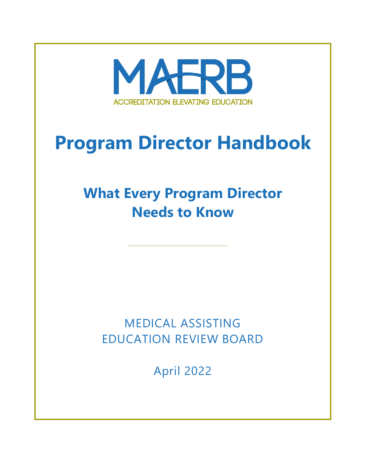

# **Program Director Handbook**

# **What Every Program Director Needs to Know**

# MEDICAL ASSISTING EDUCATION REVIEW BOARD

April 2022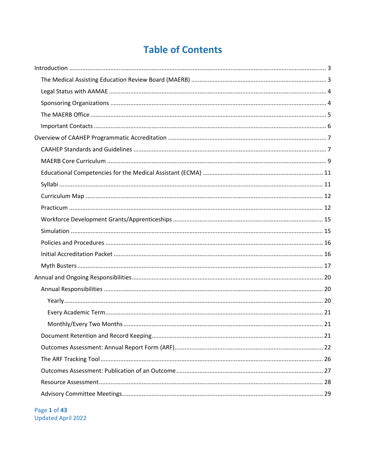# **Table of Contents**

Page 1 of 43 Updated April 2022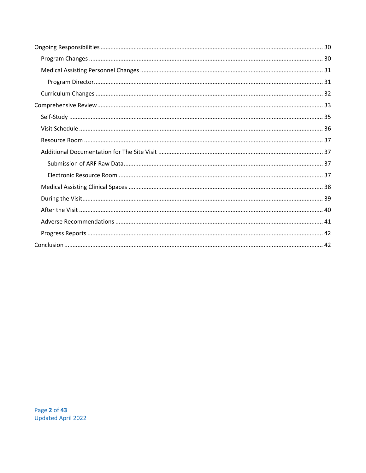Page 2 of 43 Updated April 2022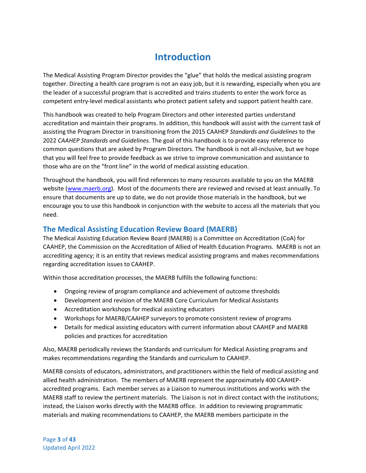# **Introduction**

<span id="page-3-0"></span>The Medical Assisting Program Director provides the "glue" that holds the medical assisting program together. Directing a health care program is not an easy job, but it is rewarding, especially when you are the leader of a successful program that is accredited and trains students to enter the work force as competent entry-level medical assistants who protect patient safety and support patient health care.

This handbook was created to help Program Directors and other interested parties understand accreditation and maintain their programs. In addition, this handbook will assist with the current task of assisting the Program Director in transitioning from the 2015 CAAHEP *Standards and Guidelines* to the 2022 *CAAHEP Standards and Guidelines.* The goal of this handbook is to provide easy reference to common questions that are asked by Program Directors. The handbook is not all-inclusive, but we hope that you will feel free to provide feedback as we strive to improve communication and assistance to those who are on the "front line" in the world of medical assisting education.

Throughout the handbook, you will find references to many resources available to you on the MAERB website [\(www.maerb.org\)](http://www.maerb.org/). Most of the documents there are reviewed and revised at least annually. To ensure that documents are up to date, we do not provide those materials in the handbook, but we encourage you to use this handbook in conjunction with the website to access all the materials that you need.

## <span id="page-3-1"></span>**The Medical Assisting Education Review Board (MAERB)**

The Medical Assisting Education Review Board (MAERB) is a Committee on Accreditation (CoA) for CAAHEP, the Commission on the Accreditation of Allied of Health Education Programs. MAERB is not an accrediting agency; it is an entity that reviews medical assisting programs and makes recommendations regarding accreditation issues to CAAHEP.

Within those accreditation processes, the MAERB fulfills the following functions:

- Ongoing review of program compliance and achievement of outcome thresholds
- Development and revision of the MAERB Core Curriculum for Medical Assistants
- Accreditation workshops for medical assisting educators
- Workshops for MAERB/CAAHEP surveyors to promote consistent review of programs
- Details for medical assisting educators with current information about CAAHEP and MAERB policies and practices for accreditation

Also, MAERB periodically reviews the Standards and curriculum for Medical Assisting programs and makes recommendations regarding the Standards and curriculum to CAAHEP.

MAERB consists of educators, administrators, and practitioners within the field of medical assisting and allied health administration. The members of MAERB represent the approximately 400 CAAHEPaccredited programs. Each member serves as a Liaison to numerous institutions and works with the MAERB staff to review the pertinent materials. The Liaison is not in direct contact with the institutions; instead, the Liaison works directly with the MAERB office. In addition to reviewing programmatic materials and making recommendations to CAAHEP, the MAERB members participate in the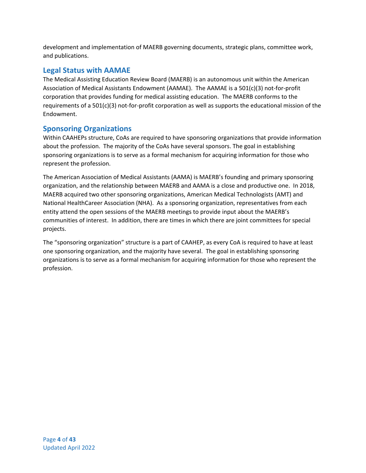development and implementation of MAERB governing documents, strategic plans, committee work, and publications.

## <span id="page-4-0"></span>**Legal Status with AAMAE**

The Medical Assisting Education Review Board (MAERB) is an autonomous unit within the American Association of Medical Assistants Endowment (AAMAE). The AAMAE is a 501(c)(3) not-for-profit corporation that provides funding for medical assisting education. The MAERB conforms to the requirements of a 501(c)(3) not-for-profit corporation as well as supports the educational mission of the Endowment.

## <span id="page-4-1"></span>**Sponsoring Organizations**

Within CAAHEPs structure, CoAs are required to have sponsoring organizations that provide information about the profession. The majority of the CoAs have several sponsors. The goal in establishing sponsoring organizations is to serve as a formal mechanism for acquiring information for those who represent the profession.

The American Association of Medical Assistants (AAMA) is MAERB's founding and primary sponsoring organization, and the relationship between MAERB and AAMA is a close and productive one. In 2018, MAERB acquired two other sponsoring organizations, American Medical Technologists (AMT) and National HealthCareer Association (NHA). As a sponsoring organization, representatives from each entity attend the open sessions of the MAERB meetings to provide input about the MAERB's communities of interest. In addition, there are times in which there are joint committees for special projects.

The "sponsoring organization" structure is a part of CAAHEP, as every CoA is required to have at least one sponsoring organization, and the majority have several. The goal in establishing sponsoring organizations is to serve as a formal mechanism for acquiring information for those who represent the profession.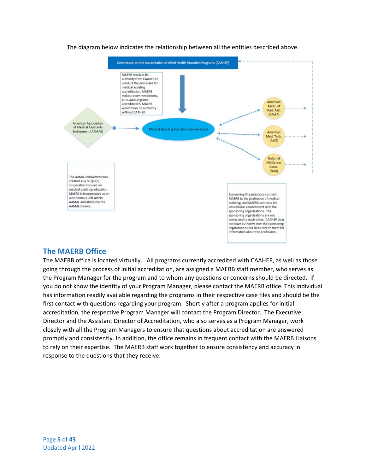

The diagram below indicates the relationship between all the entities described above.

## <span id="page-5-0"></span>**The MAERB Office**

<span id="page-5-1"></span>The MAERB office is located virtually. All programs currently accredited with CAAHEP, as well as those going through the process of initial accreditation, are assigned a MAERB staff member, who serves as the Program Manager for the program and to whom any questions or concerns should be directed. If you do not know the identity of your Program Manager, please contact the MAERB office. This individual has information readily available regarding the programs in their respective case files and should be the first contact with questions regarding your program. Shortly after a program applies for initial accreditation, the respective Program Manager will contact the Program Director. The Executive Director and the Assistant Director of Accreditation, who also serves as a Program Manager, work closely with all the Program Managers to ensure that questions about accreditation are answered promptly and consistently. In addition, the office remains in frequent contact with the MAERB Liaisons to rely on their expertise. The MAERB staff work together to ensure consistency and accuracy in response to the questions that they receive.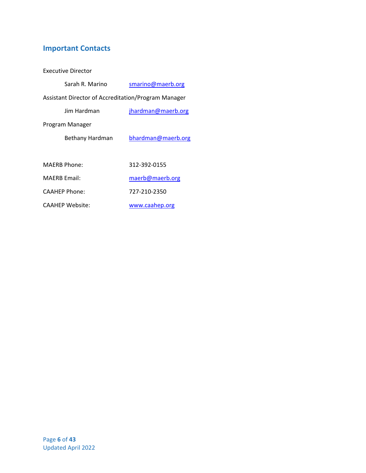## **Important Contacts**

Executive Director

| Sarah R. Marino      | smarino@maerb.org                                   |
|----------------------|-----------------------------------------------------|
|                      | Assistant Director of Accreditation/Program Manager |
| lim Hardman          | jhardman@maerb.org                                  |
| Program Manager      |                                                     |
| Bethany Hardman      | bhardman@maerb.org                                  |
|                      |                                                     |
| <b>MAERB Phone:</b>  | 312-392-0155                                        |
| <b>MAFRB Email:</b>  | maerb@maerb.org                                     |
| <b>CAAHEP Phone:</b> | 727-210-2350                                        |
| CAAHEP Website:      | www.caahep.org                                      |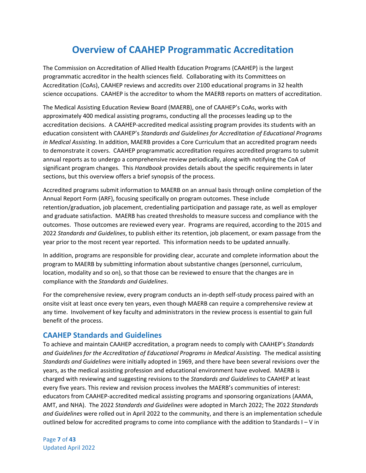# **Overview of CAAHEP Programmatic Accreditation**

<span id="page-7-0"></span>The Commission on Accreditation of Allied Health Education Programs (CAAHEP) is the largest programmatic accreditor in the health sciences field. Collaborating with its Committees on Accreditation (CoAs), CAAHEP reviews and accredits over 2100 educational programs in 32 health science occupations. CAAHEP is the accreditor to whom the MAERB reports on matters of accreditation.

The Medical Assisting Education Review Board (MAERB), one of CAAHEP's CoAs, works with approximately 400 medical assisting programs, conducting all the processes leading up to the accreditation decisions. A CAAHEP-accredited medical assisting program provides its students with an education consistent with CAAHEP's *Standards and Guidelines for Accreditation of Educational Programs in Medical Assisting*. In addition, MAERB provides a Core Curriculum that an accredited program needs to demonstrate it covers. CAAHEP programmatic accreditation requires accredited programs to submit annual reports as to undergo a comprehensive review periodically, along with notifying the CoA of significant program changes. This *Handbook* provides details about the specific requirements in later sections, but this overview offers a brief synopsis of the process.

Accredited programs submit information to MAERB on an annual basis through online completion of the Annual Report Form (ARF), focusing specifically on program outcomes. These include retention/graduation, job placement, credentialing participation and passage rate, as well as employer and graduate satisfaction. MAERB has created thresholds to measure success and compliance with the outcomes. Those outcomes are reviewed every year. Programs are required, according to the 2015 and 2022 *Standards and Guidelines*, to publish either its retention, job placement, or exam passage from the year prior to the most recent year reported. This information needs to be updated annually.

In addition, programs are responsible for providing clear, accurate and complete information about the program to MAERB by submitting information about substantive changes (personnel, curriculum, location, modality and so on), so that those can be reviewed to ensure that the changes are in compliance with the *Standards and Guidelines*.

For the comprehensive review, every program conducts an in-depth self-study process paired with an onsite visit at least once every ten years, even though MAERB can require a comprehensive review at any time. Involvement of key faculty and administrators in the review process is essential to gain full benefit of the process.

## <span id="page-7-1"></span>**CAAHEP Standards and Guidelines**

To achieve and maintain CAAHEP accreditation, a program needs to comply with CAAHEP's *Standards and Guidelines for the Accreditation of Educational Programs in Medical Assisting.* The medical assisting *Standards and Guidelines* were initially adopted in 1969, and there have been several revisions over the years, as the medical assisting profession and educational environment have evolved. MAERB is charged with reviewing and suggesting revisions to the *Standards and Guidelines* to CAAHEP at least every five years. This review and revision process involves the MAERB's communities of interest: educators from CAAHEP-accredited medical assisting programs and sponsoring organizations (AAMA, AMT, and NHA). The 2022 *Standards and Guidelines* were adopted in March 2022; The 2022 *Standards and Guidelines* were rolled out in April 2022 to the community, and there is an implementation schedule outlined below for accredited programs to come into compliance with the addition to Standards I – V in

Page **7** of **43** Updated April 2022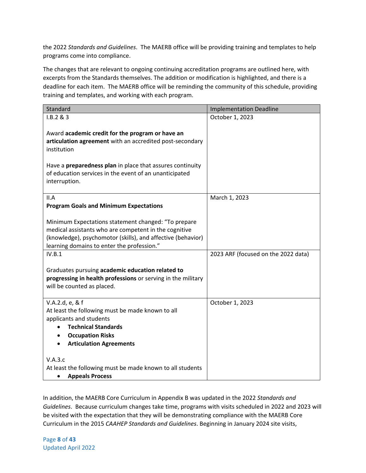the 2022 *Standards and Guidelines*. The MAERB office will be providing training and templates to help programs come into compliance.

The changes that are relevant to ongoing continuing accreditation programs are outlined here, with excerpts from the Standards themselves. The addition or modification is highlighted, and there is a deadline for each item. The MAERB office will be reminding the community of this schedule, providing training and templates, and working with each program.

| Standard                                                                                                                                                                                                                  | <b>Implementation Deadline</b>      |
|---------------------------------------------------------------------------------------------------------------------------------------------------------------------------------------------------------------------------|-------------------------------------|
| I.B.2 & 3                                                                                                                                                                                                                 | October 1, 2023                     |
| Award academic credit for the program or have an<br>articulation agreement with an accredited post-secondary<br>institution<br>Have a preparedness plan in place that assures continuity                                  |                                     |
| of education services in the event of an unanticipated<br>interruption.                                                                                                                                                   |                                     |
| II.A                                                                                                                                                                                                                      | March 1, 2023                       |
| <b>Program Goals and Minimum Expectations</b>                                                                                                                                                                             |                                     |
| Minimum Expectations statement changed: "To prepare<br>medical assistants who are competent in the cognitive<br>(knowledge), psychomotor (skills), and affective (behavior)<br>learning domains to enter the profession." |                                     |
| IV.B.1                                                                                                                                                                                                                    | 2023 ARF (focused on the 2022 data) |
| Graduates pursuing academic education related to<br>progressing in health professions or serving in the military<br>will be counted as placed.                                                                            |                                     |
| V.A.2.d, e, & f                                                                                                                                                                                                           | October 1, 2023                     |
| At least the following must be made known to all                                                                                                                                                                          |                                     |
| applicants and students                                                                                                                                                                                                   |                                     |
| <b>Technical Standards</b><br><b>Occupation Risks</b>                                                                                                                                                                     |                                     |
| <b>Articulation Agreements</b>                                                                                                                                                                                            |                                     |
|                                                                                                                                                                                                                           |                                     |
| V.A.3.c                                                                                                                                                                                                                   |                                     |
| At least the following must be made known to all students<br><b>Appeals Process</b><br>$\bullet$                                                                                                                          |                                     |

In addition, the MAERB Core Curriculum in Appendix B was updated in the 2022 *Standards and Guidelines*. Because curriculum changes take time, programs with visits scheduled in 2022 and 2023 will be visited with the expectation that they will be demonstrating compliance with the MAERB Core Curriculum in the 2015 *CAAHEP Standards and Guidelines*. Beginning in January 2024 site visits,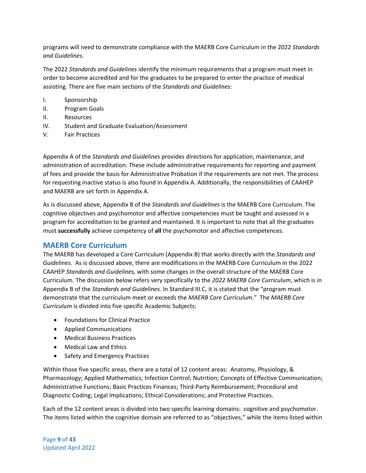programs will need to demonstrate compliance with the MAERB Core Curriculum in the 2022 *Standards and Guidelines*.

The 2022 *Standards and Guidelines* identify the minimum requirements that a program must meet in order to become accredited and for the graduates to be prepared to enter the practice of medical assisting. There are five main sections of the *Standards and Guidelines*:

- I. Sponsorship
- II. Program Goals
- II. Resources
- IV. Student and Graduate Evaluation/Assessment
- V. Fair Practices

Appendix A of the *Standards and Guidelines* provides directions for application, maintenance, and administration of accreditation. These include administrative requirements for reporting and payment of fees and provide the basis for Administrative Probation if the requirements are not met. The process for requesting inactive status is also found in Appendix A. Additionally, the responsibilities of CAAHEP and MAERB are set forth in Appendix A.

As is discussed above, Appendix B of the *Standards and Guidelines* is the MAERB Core Curriculum. The cognitive objectives and psychomotor and affective competencies must be taught and assessed in a program for accreditation to be granted and maintained. It is important to note that all the graduates must **successfully** achieve competency of **all** the psychomotor and affective competences.

## <span id="page-9-0"></span>**MAERB Core Curriculum**

The MAERB has developed a Core Curriculum (Appendix B) that works directly with the *Standards and Guidelines.* As is discussed above, there are modifications in the MAERB Core Curriculum in the 2022 CAAHEP *Standards and Guidelines,* with some changes in the overall structure of the MAERB Core Curriculum. The discussion below refers very specifically to the *2022 MAERB Core Curriculum*, which is in Appendix B of the *Standards and Guidelines.* In Standard III.C, it is stated that the "program must demonstrate that the curriculum meet or exceeds the *MAERB Core Curriculum*." The *MAERB Core Curriculum* is divided into five specific Academic Subjects:

- Foundations for Clinical Practice
- Applied Communications
- Medical Business Practices
- Medical Law and Ethics
- Safety and Emergency Practices

Within those five specific areas, there are a total of 12 content areas: Anatomy, Physiology, & Pharmacology; Applied Mathematics; Infection Control; Nutrition; Concepts of Effective Communication; Administrative Functions; Basic Practices Finances; Third-Party Reimbursement; Procedural and Diagnostic Coding; Legal Implications; Ethical Considerations; and Protective Practices.

Each of the 12 content areas is divided into two specific learning domains: cognitive and psychomotor. The items listed within the cognitive domain are referred to as "objectives," while the items listed within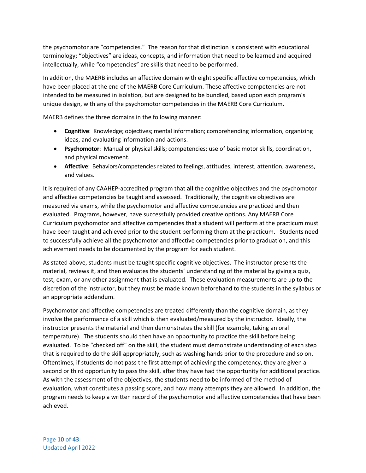the psychomotor are "competencies." The reason for that distinction is consistent with educational terminology; "objectives" are ideas, concepts, and information that need to be learned and acquired intellectually, while "competencies" are skills that need to be performed.

In addition, the MAERB includes an affective domain with eight specific affective competencies, which have been placed at the end of the MAERB Core Curriculum. These affective competencies are not intended to be measured in isolation, but are designed to be bundled, based upon each program's unique design, with any of the psychomotor competencies in the MAERB Core Curriculum.

MAERB defines the three domains in the following manner:

- **Cognitive**: Knowledge; objectives; mental information; comprehending information, organizing ideas, and evaluating information and actions.
- **Psychomotor**: Manual or physical skills; competencies; use of basic motor skills, coordination, and physical movement.
- **Affective**: Behaviors/competencies related to feelings, attitudes, interest, attention, awareness, and values.

It is required of any CAAHEP-accredited program that **all** the cognitive objectives and the psychomotor and affective competencies be taught and assessed. Traditionally, the cognitive objectives are measured via exams, while the psychomotor and affective competencies are practiced and then evaluated. Programs, however, have successfully provided creative options. Any MAERB Core Curriculum psychomotor and affective competencies that a student will perform at the practicum must have been taught and achieved prior to the student performing them at the practicum. Students need to successfully achieve all the psychomotor and affective competencies prior to graduation, and this achievement needs to be documented by the program for each student.

As stated above, students must be taught specific cognitive objectives. The instructor presents the material, reviews it, and then evaluates the students' understanding of the material by giving a quiz, test, exam, or any other assignment that is evaluated. These evaluation measurements are up to the discretion of the instructor, but they must be made known beforehand to the students in the syllabus or an appropriate addendum.

Psychomotor and affective competencies are treated differently than the cognitive domain, as they involve the performance of a skill which is then evaluated/measured by the instructor. Ideally, the instructor presents the material and then demonstrates the skill (for example, taking an oral temperature). The students should then have an opportunity to practice the skill before being evaluated. To be "checked off" on the skill, the student must demonstrate understanding of each step that is required to do the skill appropriately, such as washing hands prior to the procedure and so on. Oftentimes, if students do not pass the first attempt of achieving the competency, they are given a second or third opportunity to pass the skill, after they have had the opportunity for additional practice. As with the assessment of the objectives, the students need to be informed of the method of evaluation, what constitutes a passing score, and how many attempts they are allowed. In addition, the program needs to keep a written record of the psychomotor and affective competencies that have been achieved.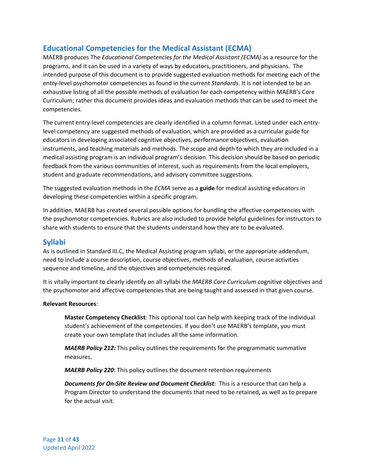## <span id="page-11-0"></span>**Educational Competencies for the Medical Assistant (ECMA)**

MAERB produces The *Educational Competencies for the Medical Assistant (ECMA)* as a resource for the programs, and it can be used in a variety of ways by educators, practitioners, and physicians. The intended purpose of this document is to provide suggested evaluation methods for meeting each of the entry-level psychomotor competencies as found in the current *Standards*. It is not intended to be an exhaustive listing of all the possible methods of evaluation for each competency within MAERB's Core Curriculum; rather this document provides ideas and evaluation methods that can be used to meet the competencies.

The current entry-level competencies are clearly identified in a column format. Listed under each entrylevel competency are suggested methods of evaluation, which are provided as a curricular guide for educators in developing associated cognitive objectives, performance objectives, evaluation instruments, and teaching materials and methods. The scope and depth to which they are included in a medical assisting program is an individual program's decision. This decision should be based on periodic feedback from the various communities of interest, such as requirements from the local employers, student and graduate recommendations, and advisory committee suggestions.

The suggested evaluation methods in the *ECMA* serve as a **guide** for medical assisting educators in developing these competencies within a specific program.

In addition, MAERB has created several possible options for bundling the affective competencies with the psychomotor competencies. Rubrics are also included to provide helpful guidelines for instructors to share with students to ensure that the students understand how they are to be evaluated.

## <span id="page-11-1"></span>**Syllabi**

As is outlined in Standard III.C, the Medical Assisting program syllabi, or the appropriate addendum, need to include a course description, course objectives, methods of evaluation, course activities sequence and timeline, and the objectives and competencies required.

It is vitally important to clearly identify on all syllabi the *MAERB Core Curriculum* cognitive objectives and the psychomotor and affective competencies that are being taught and assessed in that given course.

## **Relevant Resources**:

**Master Competency Checklist**: This optional tool can help with keeping track of the individual student's achievement of the competencies. If you don't use MAERB's template, you must create your own template that includes all the same information.

*MAERB Policy 212:* This policy outlines the requirements for the programmatic summative measures.

*MAERB Policy 220*: This policy outlines the document retention requirements

*Documents for On-Site Review and Document Checklist*: This is a resource that can help a Program Director to understand the documents that need to be retained, as well as to prepare for the actual visit.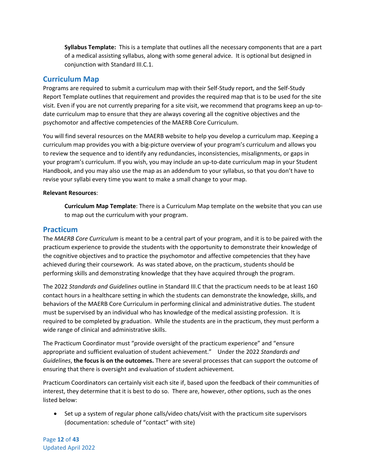**Syllabus Template:** This is a template that outlines all the necessary components that are a part of a medical assisting syllabus, along with some general advice. It is optional but designed in conjunction with Standard III.C.1.

## <span id="page-12-0"></span>**Curriculum Map**

Programs are required to submit a curriculum map with their Self-Study report, and the Self-Study Report Template outlines that requirement and provides the required map that is to be used for the site visit. Even if you are not currently preparing for a site visit, we recommend that programs keep an up-todate curriculum map to ensure that they are always covering all the cognitive objectives and the psychomotor and affective competencies of the MAERB Core Curriculum.

You will find several resources on the MAERB website to help you develop a curriculum map. Keeping a curriculum map provides you with a big-picture overview of your program's curriculum and allows you to review the sequence and to identify any redundancies, inconsistencies, misalignments, or gaps in your program's curriculum. If you wish, you may include an up-to-date curriculum map in your Student Handbook, and you may also use the map as an addendum to your syllabus, so that you don't have to revise your syllabi every time you want to make a small change to your map.

#### **Relevant Resources**:

**Curriculum Map Template**: There is a Curriculum Map template on the website that you can use to map out the curriculum with your program.

## <span id="page-12-1"></span>**Practicum**

The *MAERB Core Curriculum* is meant to be a central part of your program, and it is to be paired with the practicum experience to provide the students with the opportunity to demonstrate their knowledge of the cognitive objectives and to practice the psychomotor and affective competencies that they have achieved during their coursework. As was stated above, on the practicum, students should be performing skills and demonstrating knowledge that they have acquired through the program.

The 2022 *Standards and Guidelines* outline in Standard III.C that the practicum needs to be at least 160 contact hours in a healthcare setting in which the students can demonstrate the knowledge, skills, and behaviors of the MAERB Core Curriculum in performing clinical and administrative duties. The student must be supervised by an individual who has knowledge of the medical assisting profession. It is required to be completed by graduation. While the students are in the practicum, they must perform a wide range of clinical and administrative skills.

The Practicum Coordinator must "provide oversight of the practicum experience" and "ensure appropriate and sufficient evaluation of student achievement." Under the 2022 *Standards and Guidelines*, **the focus is on the outcomes.** There are several processes that can support the outcome of ensuring that there is oversight and evaluation of student achievement*.*

Practicum Coordinators can certainly visit each site if, based upon the feedback of their communities of interest, they determine that it is best to do so. There are, however, other options, such as the ones listed below:

• Set up a system of regular phone calls/video chats/visit with the practicum site supervisors (documentation: schedule of "contact" with site)

Page **12** of **43** Updated April 2022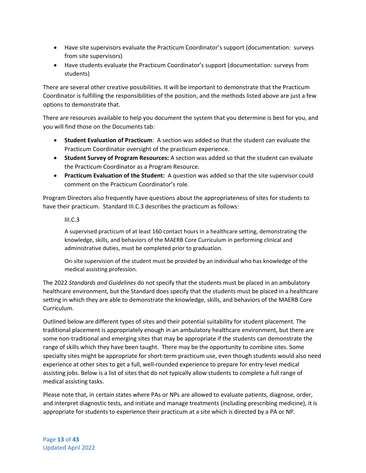- Have site supervisors evaluate the Practicum Coordinator's support (documentation: surveys from site supervisors)
- Have students evaluate the Practicum Coordinator's support (documentation: surveys from students)

There are several other creative possibilities. It will be important to demonstrate that the Practicum Coordinator is fulfilling the responsibilities of the position, and the methods listed above are just a few options to demonstrate that.

There are resources available to help you document the system that you determine is best for you, and you will find those on the Documents tab:

- **Student Evaluation of Practicum**: A section was added so that the student can evaluate the Practicum Coordinator oversight of the practicum experience.
- **Student Survey of Program Resources:** A section was added so that the student can evaluate the Practicum Coordinator as a Program Resource.
- **Practicum Evaluation of the Student:** A question was added so that the site supervisor could comment on the Practicum Coordinator's role.

Program Directors also frequently have questions about the appropriateness of sites for students to have their practicum. Standard III.C.3 describes the practicum as follows:

 $III.C.3$ 

A supervised practicum of at least 160 contact hours in a healthcare setting, demonstrating the knowledge, skills, and behaviors of the MAERB Core Curriculum in performing clinical and administrative duties, must be completed prior to graduation.

On-site supervision of the student must be provided by an individual who has knowledge of the medical assisting profession.

The 2022 *Standards and Guidelines* do not specify that the students must be placed in an ambulatory healthcare environment, but the Standard does specify that the students must be placed in a healthcare setting in which they are able to demonstrate the knowledge, skills, and behaviors of the MAERB Core Curriculum.

Outlined below are different types of sites and their potential suitability for student placement. The traditional placement is appropriately enough in an ambulatory healthcare environment, but there are some non-traditional and emerging sites that may be appropriate if the students can demonstrate the range of skills which they have been taught. There may be the opportunity to combine sites. Some specialty sites might be appropriate for short-term practicum use, even though students would also need experience at other sites to get a full, well-rounded experience to prepare for entry-level medical assisting jobs. Below is a list of sites that do not typically allow students to complete a full range of medical assisting tasks.

Please note that, in certain states where PAs or NPs are allowed to evaluate patients, diagnose, order, and interpret diagnostic tests, and initiate and manage treatments (including prescribing medicine), it is appropriate for students to experience their practicum at a site which is directed by a PA or NP.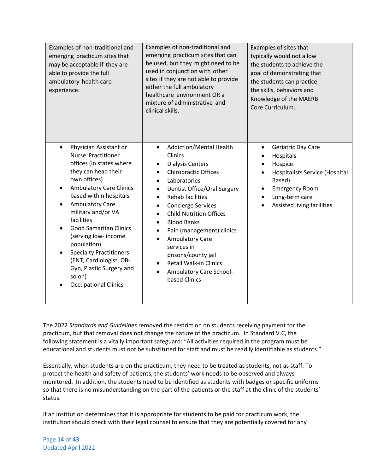| Examples of non-traditional and<br>emerging practicum sites that<br>may be acceptable if they are<br>able to provide the full<br>ambulatory health care<br>experience.                                                                                                                                                                                                                                                                                                                                         | Examples of non-traditional and<br>emerging practicum sites that can<br>be used, but they might need to be<br>used in conjunction with other<br>sites if they are not able to provide<br>either the full ambulatory<br>healthcare environment OR a<br>mixture of administrative and<br>clinical skills.                                                                                                                                                                                                                                                                                                        | Examples of sites that<br>typically would not allow<br>the students to achieve the<br>goal of demonstrating that<br>the students can practice<br>the skills, behaviors and<br>Knowledge of the MAERB<br>Core Curriculum. |
|----------------------------------------------------------------------------------------------------------------------------------------------------------------------------------------------------------------------------------------------------------------------------------------------------------------------------------------------------------------------------------------------------------------------------------------------------------------------------------------------------------------|----------------------------------------------------------------------------------------------------------------------------------------------------------------------------------------------------------------------------------------------------------------------------------------------------------------------------------------------------------------------------------------------------------------------------------------------------------------------------------------------------------------------------------------------------------------------------------------------------------------|--------------------------------------------------------------------------------------------------------------------------------------------------------------------------------------------------------------------------|
| Physician Assistant or<br>$\bullet$<br><b>Nurse Practitioner</b><br>offices (in states where<br>they can head their<br>own offices)<br><b>Ambulatory Care Clinics</b><br>$\bullet$<br>based within hospitals<br><b>Ambulatory Care</b><br>military and/or VA<br>facilities<br><b>Good Samaritan Clinics</b><br>$\bullet$<br>(serving low- income<br>population)<br><b>Specialty Practitioners</b><br>$\bullet$<br>(ENT, Cardiologist, OB-<br>Gyn, Plastic Surgery and<br>so on)<br><b>Occupational Clinics</b> | Addiction/Mental Health<br>$\bullet$<br>Clinics<br><b>Dialysis Centers</b><br>$\bullet$<br><b>Chiropractic Offices</b><br>$\bullet$<br>Laboratories<br>$\bullet$<br>Dentist Office/Oral Surgery<br>$\bullet$<br><b>Rehab facilities</b><br>$\bullet$<br><b>Concierge Services</b><br>$\bullet$<br><b>Child Nutrition Offices</b><br>$\bullet$<br><b>Blood Banks</b><br>$\bullet$<br>Pain (management) clinics<br>$\bullet$<br><b>Ambulatory Care</b><br>$\bullet$<br>services in<br>prisons/county jail<br><b>Retail Walk-in Clinics</b><br>$\bullet$<br>Ambulatory Care School-<br>$\bullet$<br>based Clinics | Geriatric Day Care<br>$\bullet$<br>Hospitals<br>Hospice<br><b>Hospitalists Service (Hospital</b><br>Based)<br><b>Emergency Room</b><br>Long-term care<br>Assisted living facilities                                      |

The 2022 *Standards and Guidelines* removed the restriction on students receiving payment for the practicum, but that removal does not change the nature of the practicum. In Standard V.C, the following statement is a vitally important safeguard: "All activities required in the program must be educational and students must not be substituted for staff and must be readily identifiable as students."

Essentially, when students are on the practicum, they need to be treated as students, not as staff. To protect the health and safety of patients, the students' work needs to be observed and always monitored. In addition, the students need to be identified as students with badges or specific uniforms so that there is no misunderstanding on the part of the patients or the staff at the clinic of the students' status.

If an institution determines that it is appropriate for students to be paid for practicum work, the institution should check with their legal counsel to ensure that they are potentially covered for any

Page **14** of **43** Updated April 2022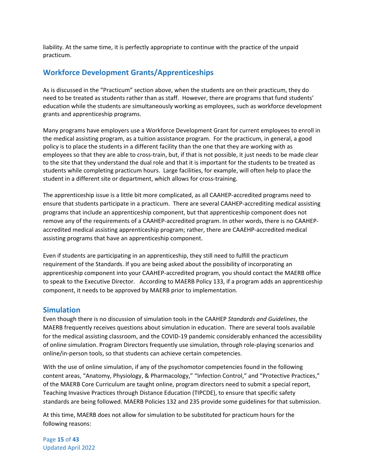liability. At the same time, it is perfectly appropriate to continue with the practice of the unpaid practicum.

## <span id="page-15-0"></span>**Workforce Development Grants/Apprenticeships**

As is discussed in the "Practicum" section above, when the students are on their practicum, they do need to be treated as students rather than as staff. However, there are programs that fund students' education while the students are simultaneously working as employees, such as workforce development grants and apprenticeship programs.

Many programs have employers use a Workforce Development Grant for current employees to enroll in the medical assisting program, as a tuition assistance program. For the practicum, in general, a good policy is to place the students in a different facility than the one that they are working with as employees so that they are able to cross-train, but, if that is not possible, it just needs to be made clear to the site that they understand the dual role and that it is important for the students to be treated as students while completing practicum hours. Large facilities, for example, will often help to place the student in a different site or department, which allows for cross-training.

The apprenticeship issue is a little bit more complicated, as all CAAHEP-accredited programs need to ensure that students participate in a practicum. There are several CAAHEP-accrediting medical assisting programs that include an apprenticeship component, but that apprenticeship component does not remove any of the requirements of a CAAHEP-accredited program. In other words, there is no CAAHEPaccredited medical assisting apprenticeship program; rather, there are CAAEHP-accredited medical assisting programs that have an apprenticeship component.

Even if students are participating in an apprenticeship, they still need to fulfill the practicum requirement of the Standards. If you are being asked about the possibility of incorporating an apprenticeship component into your CAAHEP-accredited program, you should contact the MAERB office to speak to the Executive Director. According to MAERB Policy 133, if a program adds an apprenticeship component, it needs to be approved by MAERB prior to implementation.

## <span id="page-15-1"></span>**Simulation**

Even though there is no discussion of simulation tools in the CAAHEP *Standards and Guidelines*, the MAERB frequently receives questions about simulation in education. There are several tools available for the medical assisting classroom, and the COVID-19 pandemic considerably enhanced the accessibility of online simulation. Program Directors frequently use simulation, through role-playing scenarios and online/in-person tools, so that students can achieve certain competencies.

With the use of online simulation, if any of the psychomotor competencies found in the following content areas, "Anatomy, Physiology, & Pharmacology," "Infection Control," and "Protective Practices," of the MAERB Core Curriculum are taught online, program directors need to submit a special report, Teaching Invasive Practices through Distance Education (TIPCDE), to ensure that specific safety standards are being followed. MAERB Policies 132 and 235 provide some guidelines for that submission.

At this time, MAERB does not allow for simulation to be substituted for practicum hours for the following reasons:

Page **15** of **43** Updated April 2022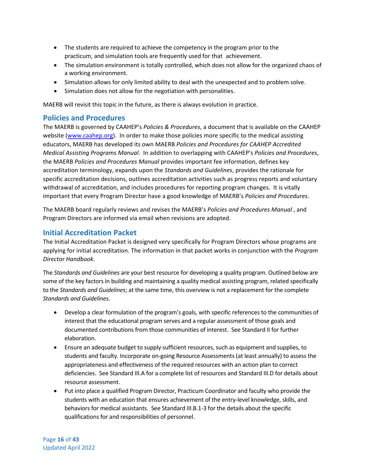- The students are required to achieve the competency in the program prior to the practicum, and simulation tools are frequently used for that achievement.
- The simulation environment is totally controlled, which does not allow for the organized chaos of a working environment.
- Simulation allows for only limited ability to deal with the unexpected and to problem solve.
- Simulation does not allow for the negotiation with personalities.

MAERB will revisit this topic in the future, as there is always evolution in practice.

## <span id="page-16-0"></span>**Policies and Procedures**

The MAERB is governed by CAAHEP's *Policies & Procedures*, a document that is available on the CAAHEP website [\(www.caahep.org\)](http://www.caahep.org/). In order to make those policies more specific to the medical assisting educators, MAERB has developed its own MAERB *Policies and Procedures for CAAHEP Accredited Medical Assisting Programs Manual*. In addition to overlapping with CAAHEP's *Policies and Procedures*, the MAERB *Policies and Procedures Manual* provides important fee information, defines key accreditation terminology, expands upon the *Standards and Guidelines*, provides the rationale for specific accreditation decisions, outlines accreditation activities such as progress reports and voluntary withdrawal of accreditation, and includes procedures for reporting program changes. It is vitally important that every Program Director have a good knowledge of MAERB's *Policies and Procedures*.

The MAERB board regularly reviews and revises the MAERB's *Policies and Procedures Manual* , and Program Directors are informed via email when revisions are adopted.

## <span id="page-16-1"></span>**Initial Accreditation Packet**

The Initial Accreditation Packet is designed very specifically for Program Directors whose programs are applying for initial accreditation. The information in that packet works in conjunction with the *Program Director Handbook.*

The *Standards and Guidelines* are your best resource for developing a quality program. Outlined below are some of the key factors in building and maintaining a quality medical assisting program, related specifically to the *Standards and Guidelines*; at the same time, this overview is not a replacement for the complete *Standards and Guidelines*.

- Develop a clear formulation of the program's goals, with specific references to the communities of interest that the educational program serves and a regular assessment of those goals and documented contributions from those communities of interest. See Standard II for further elaboration.
- Ensure an adequate budget to supply sufficient resources, such as equipment and supplies, to students and faculty. Incorporate on-going Resource Assessments (at least annually) to assess the appropriateness and effectiveness of the required resources with an action plan to correct deficiencies. See Standard III.A for a complete list of resources and Standard III.D for details about resource assessment.
- Put into place a qualified Program Director, Practicum Coordinator and faculty who provide the students with an education that ensures achievement of the entry-level knowledge, skills, and behaviors for medical assistants. See Standard III.B.1-3 for the details about the specific qualifications for and responsibilities of personnel.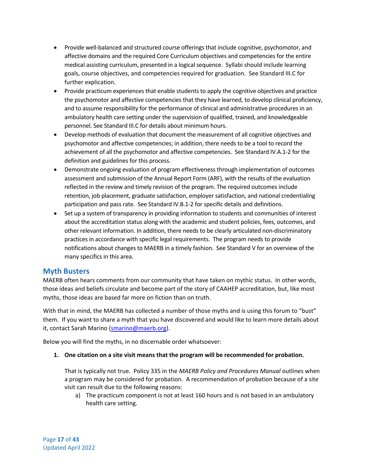- Provide well-balanced and structured course offerings that include cognitive, psychomotor, and affective domains and the required Core Curriculum objectives and competencies for the entire medical assisting curriculum, presented in a logical sequence. Syllabi should include learning goals, course objectives, and competencies required for graduation. See Standard III.C for further explication.
- Provide practicum experiences that enable students to apply the cognitive objectives and practice the psychomotor and affective competencies that they have learned, to develop clinical proficiency, and to assume responsibility for the performance of clinical and administrative procedures in an ambulatory health care setting under the supervision of qualified, trained, and knowledgeable personnel. See Standard III.C for details about minimum hours.
- Develop methods of evaluation that document the measurement of all cognitive objectives and psychomotor and affective competencies; in addition, there needs to be a tool to record the achievement of all the psychomotor and affective competencies. See Standard IV.A.1-2 for the definition and guidelines for this process.
- Demonstrate ongoing evaluation of program effectiveness through implementation of outcomes assessment and submission of the Annual Report Form (ARF), with the results of the evaluation reflected in the review and timely revision of the program. The required outcomes include retention, job placement, graduate satisfaction, employer satisfaction, and national credentialing participation and pass rate. See Standard IV.B.1-2 for specific details and definitions.
- Set up a system of transparency in providing information to students and communities of interest about the accreditation status along with the academic and student policies, fees, outcomes, and other relevant information. In addition, there needs to be clearly articulated non-discriminatory practices in accordance with specific legal requirements. The program needs to provide notifications about changes to MAERB in a timely fashion. See Standard V for an overview of the many specifics in this area.

## <span id="page-17-0"></span>**Myth Busters**

MAERB often hears comments from our community that have taken on mythic status. In other words, those ideas and beliefs circulate and become part of the story of CAAHEP accreditation, but, like most myths, those ideas are based far more on fiction than on truth.

With that in mind, the MAERB has collected a number of those myths and is using this forum to "bust" them. If you want to share a myth that you have discovered and would like to learn more details about it, contact Sarah Marino [\(smarino@maerb.org\)](mailto:smarino@maerb.org).

Below you will find the myths, in no discernable order whatsoever:

**1. One citation on a site visit means that the program will be recommended for probation.**

That is typically not true. Policy 335 in the *MAERB Policy and Procedures Manual* outlines when a program may be considered for probation. A recommendation of probation because of a site visit can result due to the following reasons:

a) The practicum component is not at least 160 hours and is not based in an ambulatory health care setting.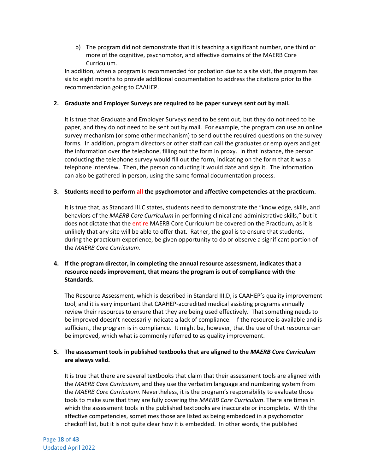b) The program did not demonstrate that it is teaching a significant number, one third or more of the cognitive, psychomotor, and affective domains of the MAERB Core Curriculum.

In addition, when a program is recommended for probation due to a site visit, the program has six to eight months to provide additional documentation to address the citations prior to the recommendation going to CAAHEP.

#### **2. Graduate and Employer Surveys are required to be paper surveys sent out by mail.**

It is true that Graduate and Employer Surveys need to be sent out, but they do not need to be paper, and they do not need to be sent out by mail. For example, the program can use an online survey mechanism (or some other mechanism) to send out the required questions on the survey forms. In addition, program directors or other staff can call the graduates or employers and get the information over the telephone, filling out the form in proxy. In that instance, the person conducting the telephone survey would fill out the form, indicating on the form that it was a telephone interview. Then, the person conducting it would date and sign it. The information can also be gathered in person, using the same formal documentation process.

#### **3. Students need to perform all the psychomotor and affective competencies at the practicum.**

It is true that, as Standard III.C states, students need to demonstrate the "knowledge, skills, and behaviors of the *MAERB Core Curriculum* in performing clinical and administrative skills," but it does not dictate that the entire MAERB Core Curriculum be covered on the Practicum, as it is unlikely that any site will be able to offer that. Rather, the goal is to ensure that students, during the practicum experience, be given opportunity to do or observe a significant portion of the *MAERB Core Curriculum*.

#### **4. If the program director, in completing the annual resource assessment, indicates that a resource needs improvement, that means the program is out of compliance with the Standards.**

The Resource Assessment, which is described in Standard III.D, is CAAHEP's quality improvement tool, and it is very important that CAAHEP-accredited medical assisting programs annually review their resources to ensure that they are being used effectively. That something needs to be improved doesn't necessarily indicate a lack of compliance. If the resource is available and is sufficient, the program is in compliance. It might be, however, that the use of that resource can be improved, which what is commonly referred to as quality improvement.

#### **5. The assessment tools in published textbooks that are aligned to the** *MAERB Core Curriculum* **are always valid.**

It is true that there are several textbooks that claim that their assessment tools are aligned with the *MAERB Core Curriculum*, and they use the verbatim language and numbering system from the *MAERB Core Curriculum*. Nevertheless, it is the program's responsibility to evaluate those tools to make sure that they are fully covering the *MAERB Core Curriculum*. There are times in which the assessment tools in the published textbooks are inaccurate or incomplete. With the affective competencies, sometimes those are listed as being embedded in a psychomotor checkoff list, but it is not quite clear how it is embedded. In other words, the published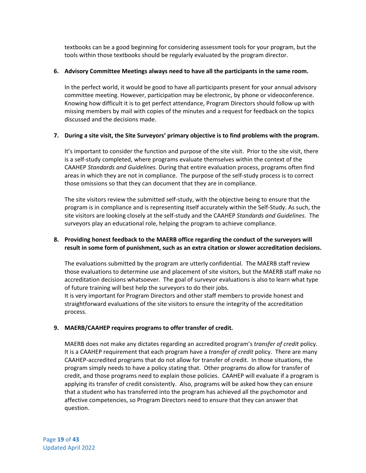textbooks can be a good beginning for considering assessment tools for your program, but the tools within those textbooks should be regularly evaluated by the program director.

#### **6. Advisory Committee Meetings always need to have all the participants in the same room.**

In the perfect world, it would be good to have all participants present for your annual advisory committee meeting. However, participation may be electronic, by phone or videoconference. Knowing how difficult it is to get perfect attendance, Program Directors should follow up with missing members by mail with copies of the minutes and a request for feedback on the topics discussed and the decisions made.

## **7. During a site visit, the Site Surveyors' primary objective is to find problems with the program.**

It's important to consider the function and purpose of the site visit. Prior to the site visit, there is a self-study completed, where programs evaluate themselves within the context of the CAAHEP *Standards and Guidelines.* During that entire evaluation process, programs often find areas in which they are not in compliance. The purpose of the self-study process is to correct those omissions so that they can document that they are in compliance.

The site visitors review the submitted self-study, with the objective being to ensure that the program is in compliance and is representing itself accurately within the Self-Study. As such, the site visitors are looking closely at the self-study and the CAAHEP *Standards and Guidelines*. The surveyors play an educational role, helping the program to achieve compliance.

## **8. Providing honest feedback to the MAERB office regarding the conduct of the surveyors will result in some form of punishment, such as an extra citation or slower accreditation decisions.**

The evaluations submitted by the program are utterly confidential. The MAERB staff review those evaluations to determine use and placement of site visitors, but the MAERB staff make no accreditation decisions whatsoever. The goal of surveyor evaluations is also to learn what type of future training will best help the surveyors to do their jobs.

It is very important for Program Directors and other staff members to provide honest and straightforward evaluations of the site visitors to ensure the integrity of the accreditation process.

## **9. MAERB/CAAHEP requires programs to offer transfer of credit.**

MAERB does not make any dictates regarding an accredited program's *transfer of credit* policy. It is a CAAHEP requirement that each program have a *transfer of credit* policy. There are many CAAHEP-accredited programs that do not allow for transfer of credit. In those situations, the program simply needs to have a policy stating that. Other programs do allow for transfer of credit, and those programs need to explain those policies. CAAHEP will evaluate if a program is applying its transfer of credit consistently. Also, programs will be asked how they can ensure that a student who has transferred into the program has achieved all the psychomotor and affective competencies, so Program Directors need to ensure that they can answer that question.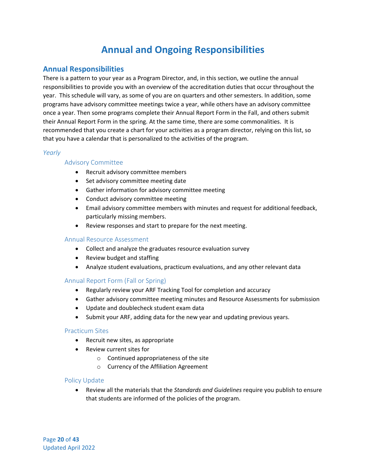# **Annual and Ongoing Responsibilities**

## <span id="page-20-1"></span><span id="page-20-0"></span>**Annual Responsibilities**

There is a pattern to your year as a Program Director, and, in this section, we outline the annual responsibilities to provide you with an overview of the accreditation duties that occur throughout the year. This schedule will vary, as some of you are on quarters and other semesters. In addition, some programs have advisory committee meetings twice a year, while others have an advisory committee once a year. Then some programs complete their Annual Report Form in the Fall, and others submit their Annual Report Form in the spring. At the same time, there are some commonalities. It is recommended that you create a chart for your activities as a program director, relying on this list, so that you have a calendar that is personalized to the activities of the program.

## <span id="page-20-2"></span>*Yearly*

## Advisory Committee

- Recruit advisory committee members
- Set advisory committee meeting date
- Gather information for advisory committee meeting
- Conduct advisory committee meeting
- Email advisory committee members with minutes and request for additional feedback, particularly missing members.
- Review responses and start to prepare for the next meeting.

#### Annual Resource Assessment

- Collect and analyze the graduates resource evaluation survey
- Review budget and staffing
- Analyze student evaluations, practicum evaluations, and any other relevant data

## Annual Report Form (Fall or Spring)

- Regularly review your ARF Tracking Tool for completion and accuracy
- Gather advisory committee meeting minutes and Resource Assessments for submission
- Update and doublecheck student exam data
- Submit your ARF, adding data for the new year and updating previous years.

#### Practicum Sites

- Recruit new sites, as appropriate
- Review current sites for
	- o Continued appropriateness of the site
	- o Currency of the Affiliation Agreement

#### Policy Update

• Review all the materials that the *Standards and Guidelines* require you publish to ensure that students are informed of the policies of the program.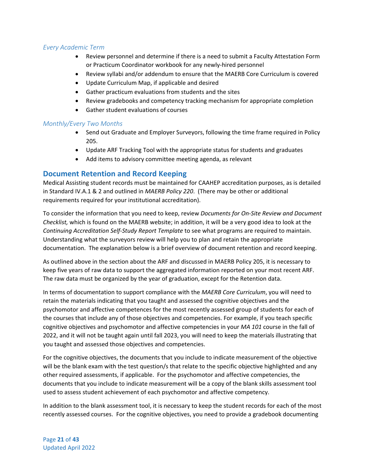## <span id="page-21-0"></span>*Every Academic Term*

- Review personnel and determine if there is a need to submit a Faculty Attestation Form or Practicum Coordinator workbook for any newly-hired personnel
- Review syllabi and/or addendum to ensure that the MAERB Core Curriculum is covered
- Update Curriculum Map, if applicable and desired
- Gather practicum evaluations from students and the sites
- Review gradebooks and competency tracking mechanism for appropriate completion
- Gather student evaluations of courses

## <span id="page-21-1"></span>*Monthly/Every Two Months*

- Send out Graduate and Employer Surveyors, following the time frame required in Policy 205.
- Update ARF Tracking Tool with the appropriate status for students and graduates
- Add items to advisory committee meeting agenda, as relevant

## <span id="page-21-2"></span>**Document Retention and Record Keeping**

Medical Assisting student records must be maintained for CAAHEP accreditation purposes, as is detailed in Standard IV.A.1 & 2 and outlined in *MAERB Policy 220*. (There may be other or additional requirements required for your institutional accreditation).

To consider the information that you need to keep, review *Documents for On-Site Review and Document Checklist,* which is found on the MAERB website; in addition, it will be a very good idea to look at the *Continuing Accreditation Self-Study Report Template* to see what programs are required to maintain. Understanding what the surveyors review will help you to plan and retain the appropriate documentation. The explanation below is a brief overview of document retention and record keeping.

As outlined above in the section about the ARF and discussed in MAERB Policy 205, it is necessary to keep five years of raw data to support the aggregated information reported on your most recent ARF. The raw data must be organized by the year of graduation, except for the Retention data.

In terms of documentation to support compliance with the *MAERB Core Curriculum*, you will need to retain the materials indicating that you taught and assessed the cognitive objectives and the psychomotor and affective competences for the most recently assessed group of students for each of the courses that include any of those objectives and competencies. For example, if you teach specific cognitive objectives and psychomotor and affective competencies in your *MA 101* course in the fall of 2022, and it will not be taught again until fall 2023, you will need to keep the materials illustrating that you taught and assessed those objectives and competencies.

For the cognitive objectives, the documents that you include to indicate measurement of the objective will be the blank exam with the test question/s that relate to the specific objective highlighted and any other required assessments, if applicable. For the psychomotor and affective competencies, the documents that you include to indicate measurement will be a copy of the blank skills assessment tool used to assess student achievement of each psychomotor and affective competency.

In addition to the blank assessment tool, it is necessary to keep the student records for each of the most recently assessed courses. For the cognitive objectives, you need to provide a gradebook documenting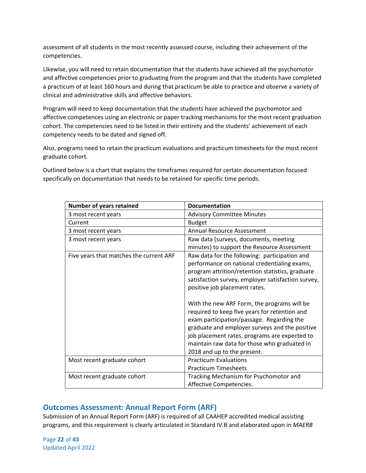assessment of all students in the most recently assessed course, including their achievement of the competencies.

Likewise, you will need to retain documentation that the students have achieved all the psychomotor and affective competencies prior to graduating from the program and that the students have completed a practicum of at least 160 hours and during that practicum be able to practice and observe a variety of clinical and administrative skills and affective behaviors.

Program will need to keep documentation that the students have achieved the psychomotor and affective competences using an electronic or paper tracking mechanisms for the most recent graduation cohort. The competencies need to be listed in their entirety and the students' achievement of each competency needs to be dated and signed off.

Also, programs need to retain the practicum evaluations and practicum timesheets for the most recent graduate cohort.

Outlined below is a chart that explains the timeframes required for certain documentation focused specifically on documentation that needs to be retained for specific time periods.

| Number of years retained                | <b>Documentation</b>                                                                                                                                                                                                                                                                                                        |
|-----------------------------------------|-----------------------------------------------------------------------------------------------------------------------------------------------------------------------------------------------------------------------------------------------------------------------------------------------------------------------------|
| 3 most recent years                     | <b>Advisory Committee Minutes</b>                                                                                                                                                                                                                                                                                           |
| Current                                 | <b>Budget</b>                                                                                                                                                                                                                                                                                                               |
| 3 most recent years                     | <b>Annual Resource Assessment</b>                                                                                                                                                                                                                                                                                           |
| 3 most recent years                     | Raw data (surveys, documents, meeting                                                                                                                                                                                                                                                                                       |
|                                         | minutes) to support the Resource Assessment                                                                                                                                                                                                                                                                                 |
| Five years that matches the current ARF | Raw data for the following: participation and<br>performance on national credentialing exams,<br>program attrition/retention statistics, graduate<br>satisfaction survey, employer satisfaction survey,<br>positive job placement rates.                                                                                    |
|                                         | With the new ARF Form, the programs will be<br>required to keep five years for retention and<br>exam participation/passage. Regarding the<br>graduate and employer surveys and the positive<br>job placement rates, programs are expected to<br>maintain raw data for those who graduated in<br>2018 and up to the present. |
| Most recent graduate cohort             | <b>Practicum Evaluations</b><br><b>Practicum Timesheets</b>                                                                                                                                                                                                                                                                 |
| Most recent graduate cohort             | Tracking Mechanism for Psychomotor and<br>Affective Competencies.                                                                                                                                                                                                                                                           |

## <span id="page-22-0"></span>**Outcomes Assessment: Annual Report Form (ARF)**

Submission of an Annual Report Form (ARF) is required of all CAAHEP accredited medical assisting programs, and this requirement is clearly articulated in Standard IV.B and elaborated upon in *MAERB* 

Page **22** of **43** Updated April 2022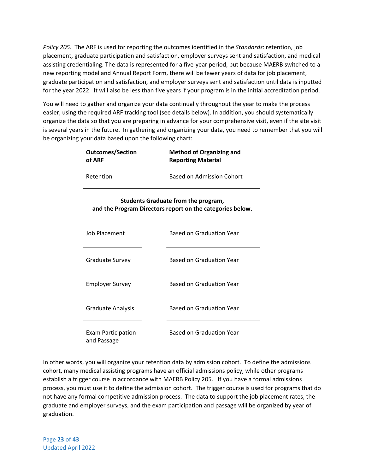*Policy 205.* The ARF is used for reporting the outcomes identified in the *Standards*: retention, job placement, graduate participation and satisfaction, employer surveys sent and satisfaction, and medical assisting credentialing. The data is represented for a five-year period, but because MAERB switched to a new reporting model and Annual Report Form, there will be fewer years of data for job placement, graduate participation and satisfaction, and employer surveys sent and satisfaction until data is inputted for the year 2022. It will also be less than five years if your program is in the initial accreditation period.

You will need to gather and organize your data continually throughout the year to make the process easier, using the required ARF tracking tool (see details below). In addition, you should systematically organize the data so that you are preparing in advance for your comprehensive visit, even if the site visit is several years in the future. In gathering and organizing your data, you need to remember that you will be organizing your data based upon the following chart:

| <b>Outcomes/Section</b><br>of ARF                                                                | <b>Method of Organizing and</b><br><b>Reporting Material</b> |  |
|--------------------------------------------------------------------------------------------------|--------------------------------------------------------------|--|
| Retention                                                                                        | Based on Admission Cohort                                    |  |
| Students Graduate from the program,<br>and the Program Directors report on the categories below. |                                                              |  |
| Job Placement                                                                                    | <b>Based on Graduation Year</b>                              |  |
| <b>Graduate Survey</b>                                                                           | <b>Based on Graduation Year</b>                              |  |
| Employer Survey                                                                                  | <b>Based on Graduation Year</b>                              |  |
| Graduate Analysis                                                                                | <b>Based on Graduation Year</b>                              |  |
| Exam Participation<br>and Passage                                                                | <b>Based on Graduation Year</b>                              |  |

In other words, you will organize your retention data by admission cohort. To define the admissions cohort, many medical assisting programs have an official admissions policy, while other programs establish a trigger course in accordance with MAERB Policy 205. If you have a formal admissions process, you must use it to define the admission cohort. The trigger course is used for programs that do not have any formal competitive admission process. The data to support the job placement rates, the graduate and employer surveys, and the exam participation and passage will be organized by year of graduation.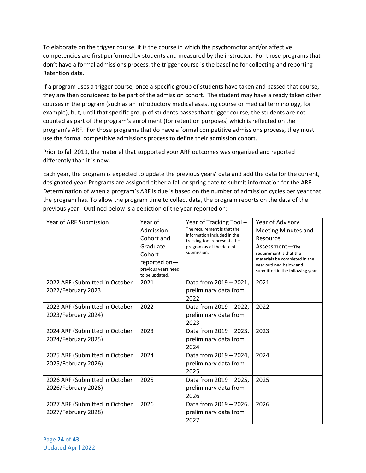To elaborate on the trigger course, it is the course in which the psychomotor and/or affective competencies are first performed by students and measured by the instructor. For those programs that don't have a formal admissions process, the trigger course is the baseline for collecting and reporting Retention data.

If a program uses a trigger course, once a specific group of students have taken and passed that course, they are then considered to be part of the admission cohort. The student may have already taken other courses in the program (such as an introductory medical assisting course or medical terminology, for example), but, until that specific group of students passes that trigger course, the students are not counted as part of the program's enrollment (for retention purposes) which is reflected on the program's ARF. For those programs that do have a formal competitive admissions process, they must use the formal competitive admissions process to define their admission cohort.

Prior to fall 2019, the material that supported your ARF outcomes was organized and reported differently than it is now.

Each year, the program is expected to update the previous years' data and add the data for the current, designated year. Programs are assigned either a fall or spring date to submit information for the ARF. Determination of when a program's ARF is due is based on the number of admission cycles per year that the program has. To allow the program time to collect data, the program reports on the data of the previous year. Outlined below is a depiction of the year reported on:

| Year of ARF Submission                                | Year of<br>Admission<br>Cohort and<br>Graduate<br>Cohort<br>reported on-<br>previous years need<br>to be updated. | Year of Tracking Tool -<br>The requirement is that the<br>information included in the<br>tracking tool represents the<br>program as of the date of<br>submission. | Year of Advisory<br><b>Meeting Minutes and</b><br>Resource<br>Assessment-The<br>requirement is that the<br>materials be completed in the<br>year outlined below and<br>submitted in the following year. |
|-------------------------------------------------------|-------------------------------------------------------------------------------------------------------------------|-------------------------------------------------------------------------------------------------------------------------------------------------------------------|---------------------------------------------------------------------------------------------------------------------------------------------------------------------------------------------------------|
| 2022 ARF (Submitted in October<br>2022/February 2023  | 2021                                                                                                              | Data from 2019 - 2021,<br>preliminary data from<br>2022                                                                                                           | 2021                                                                                                                                                                                                    |
| 2023 ARF (Submitted in October<br>2023/February 2024) | 2022                                                                                                              | Data from 2019 - 2022,<br>preliminary data from<br>2023                                                                                                           | 2022                                                                                                                                                                                                    |
| 2024 ARF (Submitted in October<br>2024/February 2025) | 2023                                                                                                              | Data from 2019 - 2023,<br>preliminary data from<br>2024                                                                                                           | 2023                                                                                                                                                                                                    |
| 2025 ARF (Submitted in October<br>2025/February 2026) | 2024                                                                                                              | Data from 2019 - 2024,<br>preliminary data from<br>2025                                                                                                           | 2024                                                                                                                                                                                                    |
| 2026 ARF (Submitted in October<br>2026/February 2026) | 2025                                                                                                              | Data from 2019 - 2025,<br>preliminary data from<br>2026                                                                                                           | 2025                                                                                                                                                                                                    |
| 2027 ARF (Submitted in October<br>2027/February 2028) | 2026                                                                                                              | Data from 2019 - 2026,<br>preliminary data from<br>2027                                                                                                           | 2026                                                                                                                                                                                                    |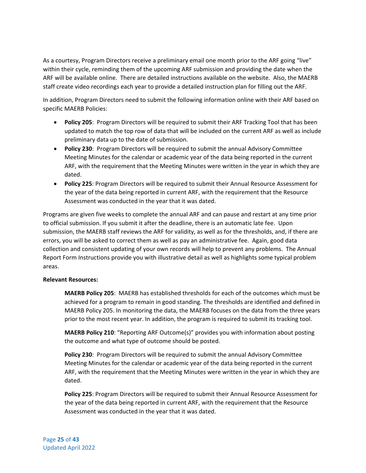As a courtesy, Program Directors receive a preliminary email one month prior to the ARF going "live" within their cycle, reminding them of the upcoming ARF submission and providing the date when the ARF will be available online. There are detailed instructions available on the website. Also, the MAERB staff create video recordings each year to provide a detailed instruction plan for filling out the ARF.

In addition, Program Directors need to submit the following information online with their ARF based on specific MAERB Policies:

- **Policy 205**: Program Directors will be required to submit their ARF Tracking Tool that has been updated to match the top row of data that will be included on the current ARF as well as include preliminary data up to the date of submission.
- **Policy 230**: Program Directors will be required to submit the annual Advisory Committee Meeting Minutes for the calendar or academic year of the data being reported in the current ARF, with the requirement that the Meeting Minutes were written in the year in which they are dated.
- **Policy 225**: Program Directors will be required to submit their Annual Resource Assessment for the year of the data being reported in current ARF, with the requirement that the Resource Assessment was conducted in the year that it was dated.

Programs are given five weeks to complete the annual ARF and can pause and restart at any time prior to official submission. If you submit it after the deadline, there is an automatic late fee. Upon submission, the MAERB staff reviews the ARF for validity, as well as for the thresholds, and, if there are errors, you will be asked to correct them as well as pay an administrative fee. Again, good data collection and consistent updating of your own records will help to prevent any problems. The Annual Report Form Instructions provide you with illustrative detail as well as highlights some typical problem areas.

#### **Relevant Resources:**

**MAERB Policy 205**: MAERB has established thresholds for each of the outcomes which must be achieved for a program to remain in good standing. The thresholds are identified and defined in MAERB Policy 205. In monitoring the data, the MAERB focuses on the data from the three years prior to the most recent year. In addition, the program is required to submit its tracking tool.

**MAERB Policy 210**: "Reporting ARF Outcome(s)" provides you with information about posting the outcome and what type of outcome should be posted.

**Policy 230**: Program Directors will be required to submit the annual Advisory Committee Meeting Minutes for the calendar or academic year of the data being reported in the current ARF, with the requirement that the Meeting Minutes were written in the year in which they are dated.

**Policy 225**: Program Directors will be required to submit their Annual Resource Assessment for the year of the data being reported in current ARF, with the requirement that the Resource Assessment was conducted in the year that it was dated.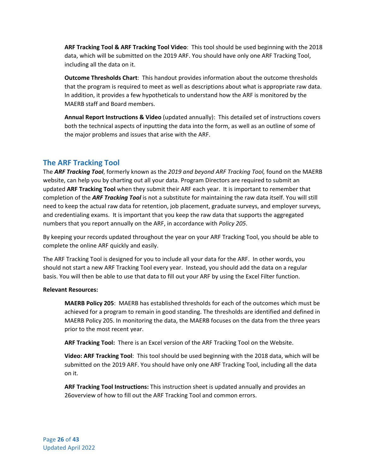**ARF Tracking Tool & ARF Tracking Tool Video**: This tool should be used beginning with the 2018 data, which will be submitted on the 2019 ARF. You should have only one ARF Tracking Tool, including all the data on it.

**Outcome Thresholds Chart**: This handout provides information about the outcome thresholds that the program is required to meet as well as descriptions about what is appropriate raw data. In addition, it provides a few hypotheticals to understand how the ARF is monitored by the MAERB staff and Board members.

**Annual Report Instructions & Video** (updated annually): This detailed set of instructions covers both the technical aspects of inputting the data into the form, as well as an outline of some of the major problems and issues that arise with the ARF.

## <span id="page-26-0"></span>**The ARF Tracking Tool**

The *ARF Tracking Tool*, formerly known as the *2019 and beyond ARF Tracking Tool,* found on the MAERB website, can help you by charting out all your data. Program Directors are required to submit an updated **ARF Tracking Tool** when they submit their ARF each year. It is important to remember that completion of the *ARF Tracking Tool* is not a substitute for maintaining the raw data itself. You will still need to keep the actual raw data for retention, job placement, graduate surveys, and employer surveys, and credentialing exams. It is important that you keep the raw data that supports the aggregated numbers that you report annually on the ARF, in accordance with *Policy 205*.

By keeping your records updated throughout the year on your ARF Tracking Tool, you should be able to complete the online ARF quickly and easily.

The ARF Tracking Tool is designed for you to include all your data for the ARF. In other words, you should not start a new ARF Tracking Tool every year. Instead, you should add the data on a regular basis. You will then be able to use that data to fill out your ARF by using the Excel Filter function.

#### **Relevant Resources:**

**MAERB Policy 205**: MAERB has established thresholds for each of the outcomes which must be achieved for a program to remain in good standing. The thresholds are identified and defined in MAERB Policy 205. In monitoring the data, the MAERB focuses on the data from the three years prior to the most recent year.

**ARF Tracking Tool:** There is an Excel version of the ARF Tracking Tool on the Website.

**Video: ARF Tracking Tool**: This tool should be used beginning with the 2018 data, which will be submitted on the 2019 ARF. You should have only one ARF Tracking Tool, including all the data on it.

**ARF Tracking Tool Instructions:** This instruction sheet is updated annually and provides an 26overview of how to fill out the ARF Tracking Tool and common errors.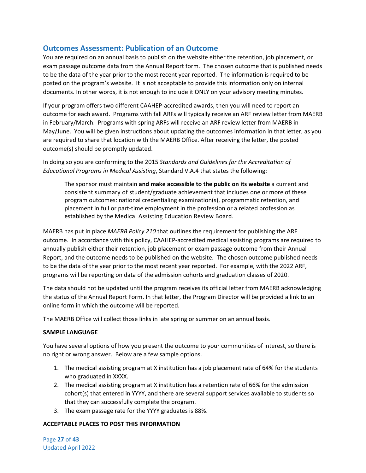## <span id="page-27-0"></span>**Outcomes Assessment: Publication of an Outcome**

You are required on an annual basis to publish on the website either the retention, job placement, or exam passage outcome data from the Annual Report form. The chosen outcome that is published needs to be the data of the year prior to the most recent year reported. The information is required to be posted on the program's website. It is not acceptable to provide this information only on internal documents. In other words, it is not enough to include it ONLY on your advisory meeting minutes.

If your program offers two different CAAHEP-accredited awards, then you will need to report an outcome for each award. Programs with fall ARFs will typically receive an ARF review letter from MAERB in February/March. Programs with spring ARFs will receive an ARF review letter from MAERB in May/June. You will be given instructions about updating the outcomes information in that letter, as you are required to share that location with the MAERB Office. After receiving the letter, the posted outcome(s) should be promptly updated.

In doing so you are conforming to the 2015 *Standards and Guidelines for the Accreditation of Educational Programs in Medical Assisting*, Standard V.A.4 that states the following:

The sponsor must maintain **and make accessible to the public on its website** a current and consistent summary of student/graduate achievement that includes one or more of these program outcomes: national credentialing examination(s), programmatic retention, and placement in full or part-time employment in the profession or a related profession as established by the Medical Assisting Education Review Board.

MAERB has put in place *MAERB Policy 210* that outlines the requirement for publishing the ARF outcome. In accordance with this policy, CAAHEP-accredited medical assisting programs are required to annually publish either their retention, job placement or exam passage outcome from their Annual Report, and the outcome needs to be published on the website. The chosen outcome published needs to be the data of the year prior to the most recent year reported. For example, with the 2022 ARF, programs will be reporting on data of the admission cohorts and graduation classes of 2020.

The data should not be updated until the program receives its official letter from MAERB acknowledging the status of the Annual Report Form. In that letter, the Program Director will be provided a link to an online form in which the outcome will be reported.

The MAERB Office will collect those links in late spring or summer on an annual basis.

#### **SAMPLE LANGUAGE**

You have several options of how you present the outcome to your communities of interest, so there is no right or wrong answer. Below are a few sample options.

- 1. The medical assisting program at X institution has a job placement rate of 64% for the students who graduated in XXXX.
- 2. The medical assisting program at X institution has a retention rate of 66% for the admission cohort(s) that entered in YYYY, and there are several support services available to students so that they can successfully complete the program.
- 3. The exam passage rate for the YYYY graduates is 88%.

## **ACCEPTABLE PLACES TO POST THIS INFORMATION**

Page **27** of **43** Updated April 2022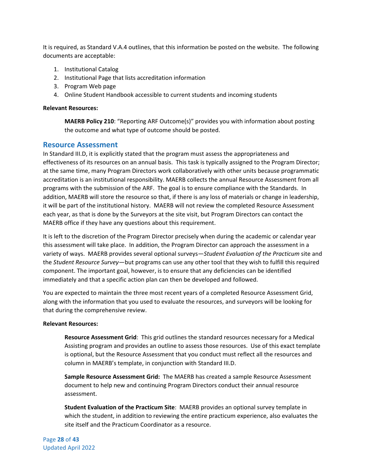It is required, as Standard V.A.4 outlines, that this information be posted on the website. The following documents are acceptable:

- 1. Institutional Catalog
- 2. Institutional Page that lists accreditation information
- 3. Program Web page
- 4. Online Student Handbook accessible to current students and incoming students

#### **Relevant Resources:**

**MAERB Policy 210**: "Reporting ARF Outcome(s)" provides you with information about posting the outcome and what type of outcome should be posted.

#### <span id="page-28-0"></span>**Resource Assessment**

In Standard III.D, it is explicitly stated that the program must assess the appropriateness and effectiveness of its resources on an annual basis. This task is typically assigned to the Program Director; at the same time, many Program Directors work collaboratively with other units because programmatic accreditation is an institutional responsibility. MAERB collects the annual Resource Assessment from all programs with the submission of the ARF. The goal is to ensure compliance with the Standards. In addition, MAERB will store the resource so that, if there is any loss of materials or change in leadership, it will be part of the institutional history. MAERB will not review the completed Resource Assessment each year, as that is done by the Surveyors at the site visit, but Program Directors can contact the MAERB office if they have any questions about this requirement.

It is left to the discretion of the Program Director precisely when during the academic or calendar year this assessment will take place. In addition, the Program Director can approach the assessment in a variety of ways. MAERB provides several optional surveys—*Student Evaluation of the Practicum* site and the *Student Resource Survey*—but programs can use any other tool that they wish to fulfill this required component. The important goal, however, is to ensure that any deficiencies can be identified immediately and that a specific action plan can then be developed and followed.

You are expected to maintain the three most recent years of a completed Resource Assessment Grid, along with the information that you used to evaluate the resources, and surveyors will be looking for that during the comprehensive review.

#### **Relevant Resources:**

**Resource Assessment Grid**: This grid outlines the standard resources necessary for a Medical Assisting program and provides an outline to assess those resources. Use of this exact template is optional, but the Resource Assessment that you conduct must reflect all the resources and column in MAERB's template, in conjunction with Standard III.D.

**Sample Resource Assessment Grid:** The MAERB has created a sample Resource Assessment document to help new and continuing Program Directors conduct their annual resource assessment.

**Student Evaluation of the Practicum Site**: MAERB provides an optional survey template in which the student, in addition to reviewing the entire practicum experience, also evaluates the site itself and the Practicum Coordinator as a resource.

Page **28** of **43** Updated April 2022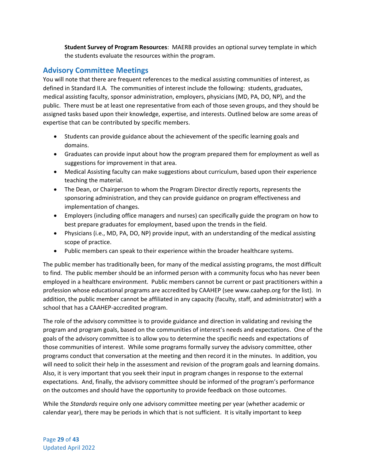**Student Survey of Program Resources**: MAERB provides an optional survey template in which the students evaluate the resources within the program.

## <span id="page-29-0"></span>**Advisory Committee Meetings**

You will note that there are frequent references to the medical assisting communities of interest, as defined in Standard II.A*.* The communities of interest include the following: students, graduates, medical assisting faculty, sponsor administration, employers, physicians (MD, PA, DO, NP), and the public. There must be at least one representative from each of those seven groups, and they should be assigned tasks based upon their knowledge, expertise, and interests. Outlined below are some areas of expertise that can be contributed by specific members.

- Students can provide guidance about the achievement of the specific learning goals and domains.
- Graduates can provide input about how the program prepared them for employment as well as suggestions for improvement in that area.
- Medical Assisting faculty can make suggestions about curriculum, based upon their experience teaching the material.
- The Dean, or Chairperson to whom the Program Director directly reports, represents the sponsoring administration, and they can provide guidance on program effectiveness and implementation of changes.
- Employers (including office managers and nurses) can specifically guide the program on how to best prepare graduates for employment, based upon the trends in the field.
- Physicians (i.e., MD, PA, DO, NP) provide input, with an understanding of the medical assisting scope of practice.
- Public members can speak to their experience within the broader healthcare systems.

The public member has traditionally been, for many of the medical assisting programs, the most difficult to find. The public member should be an informed person with a community focus who has never been employed in a healthcare environment. Public members cannot be current or past practitioners within a profession whose educational programs are accredited by CAAHEP (see www.caahep.org for the list). In addition, the public member cannot be affiliated in any capacity (faculty, staff, and administrator) with a school that has a CAAHEP-accredited program.

The role of the advisory committee is to provide guidance and direction in validating and revising the program and program goals, based on the communities of interest's needs and expectations. One of the goals of the advisory committee is to allow you to determine the specific needs and expectations of those communities of interest. While some programs formally survey the advisory committee, other programs conduct that conversation at the meeting and then record it in the minutes. In addition, you will need to solicit their help in the assessment and revision of the program goals and learning domains. Also, it is very important that you seek their input in program changes in response to the external expectations. And, finally, the advisory committee should be informed of the program's performance on the outcomes and should have the opportunity to provide feedback on those outcomes.

While the *Standards* require only one advisory committee meeting per year (whether academic or calendar year), there may be periods in which that is not sufficient. It is vitally important to keep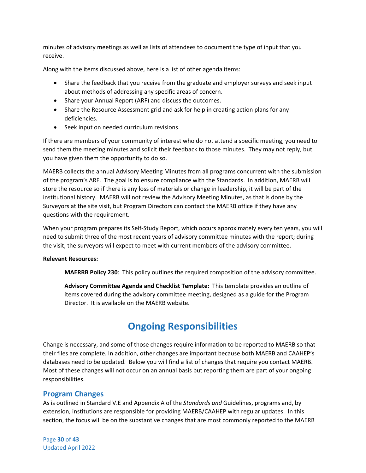minutes of advisory meetings as well as lists of attendees to document the type of input that you receive.

Along with the items discussed above, here is a list of other agenda items:

- Share the feedback that you receive from the graduate and employer surveys and seek input about methods of addressing any specific areas of concern.
- Share your Annual Report (ARF) and discuss the outcomes.
- Share the Resource Assessment grid and ask for help in creating action plans for any deficiencies.
- Seek input on needed curriculum revisions.

If there are members of your community of interest who do not attend a specific meeting, you need to send them the meeting minutes and solicit their feedback to those minutes. They may not reply, but you have given them the opportunity to do so.

MAERB collects the annual Advisory Meeting Minutes from all programs concurrent with the submission of the program's ARF. The goal is to ensure compliance with the Standards. In addition, MAERB will store the resource so if there is any loss of materials or change in leadership, it will be part of the institutional history. MAERB will not review the Advisory Meeting Minutes, as that is done by the Surveyors at the site visit, but Program Directors can contact the MAERB office if they have any questions with the requirement.

When your program prepares its Self-Study Report, which occurs approximately every ten years, you will need to submit three of the most recent years of advisory committee minutes with the report; during the visit, the surveyors will expect to meet with current members of the advisory committee.

#### **Relevant Resources:**

**MAERRB Policy 230**: This policy outlines the required composition of the advisory committee.

**Advisory Committee Agenda and Checklist Template:** This template provides an outline of items covered during the advisory committee meeting, designed as a guide for the Program Director. It is available on the MAERB website.

# **Ongoing Responsibilities**

<span id="page-30-0"></span>Change is necessary, and some of those changes require information to be reported to MAERB so that their files are complete. In addition, other changes are important because both MAERB and CAAHEP's databases need to be updated. Below you will find a list of changes that require you contact MAERB. Most of these changes will not occur on an annual basis but reporting them are part of your ongoing responsibilities.

## <span id="page-30-1"></span>**Program Changes**

As is outlined in Standard V.E and Appendix A of the *Standards and* Guidelines, programs and, by extension, institutions are responsible for providing MAERB/CAAHEP with regular updates. In this section, the focus will be on the substantive changes that are most commonly reported to the MAERB

Page **30** of **43** Updated April 2022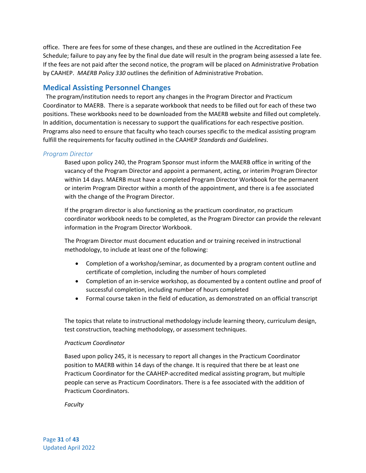office. There are fees for some of these changes, and these are outlined in the Accreditation Fee Schedule; failure to pay any fee by the final due date will result in the program being assessed a late fee. If the fees are not paid after the second notice, the program will be placed on Administrative Probation by CAAHEP. *MAERB Policy 330* outlines the definition of Administrative Probation.

## <span id="page-31-0"></span>**Medical Assisting Personnel Changes**

 The program/institution needs to report any changes in the Program Director and Practicum Coordinator to MAERB. There is a separate workbook that needs to be filled out for each of these two positions. These workbooks need to be downloaded from the MAERB website and filled out completely. In addition, documentation is necessary to support the qualifications for each respective position. Programs also need to ensure that faculty who teach courses specific to the medical assisting program fulfill the requirements for faculty outlined in the CAAHEP *Standards and Guidelines*.

#### <span id="page-31-1"></span>*Program Director*

Based upon policy 240, the Program Sponsor must inform the MAERB office in writing of the vacancy of the Program Director and appoint a permanent, acting, or interim Program Director within 14 days. MAERB must have a completed Program Director Workbook for the permanent or interim Program Director within a month of the appointment, and there is a fee associated with the change of the Program Director.

If the program director is also functioning as the practicum coordinator, no practicum coordinator workbook needs to be completed, as the Program Director can provide the relevant information in the Program Director Workbook.

The Program Director must document education and or training received in instructional methodology, to include at least one of the following:

- Completion of a workshop/seminar, as documented by a program content outline and certificate of completion, including the number of hours completed
- Completion of an in-service workshop, as documented by a content outline and proof of successful completion, including number of hours completed
- Formal course taken in the field of education, as demonstrated on an official transcript

The topics that relate to instructional methodology include learning theory, curriculum design, test construction, teaching methodology, or assessment techniques.

#### *Practicum Coordinator*

Based upon policy 245, it is necessary to report all changes in the Practicum Coordinator position to MAERB within 14 days of the change. It is required that there be at least one Practicum Coordinator for the CAAHEP-accredited medical assisting program, but multiple people can serve as Practicum Coordinators. There is a fee associated with the addition of Practicum Coordinators.

*Faculty*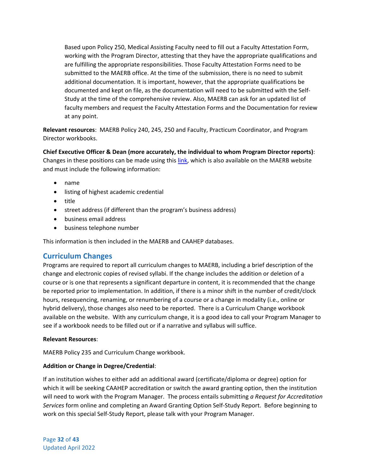Based upon Policy 250, Medical Assisting Faculty need to fill out a Faculty Attestation Form, working with the Program Director, attesting that they have the appropriate qualifications and are fulfilling the appropriate responsibilities. Those Faculty Attestation Forms need to be submitted to the MAERB office. At the time of the submission, there is no need to submit additional documentation. It is important, however, that the appropriate qualifications be documented and kept on file, as the documentation will need to be submitted with the Self-Study at the time of the comprehensive review. Also, MAERB can ask for an updated list of faculty members and request the Faculty Attestation Forms and the Documentation for review at any point.

**Relevant resources**: MAERB Policy 240, 245, 250 and Faculty, Practicum Coordinator, and Program Director workbooks.

**Chief Executive Officer & Dean (more accurately, the individual to whom Program Director reports)**: Changes in these positions can be made using thi[s link,](https://www.surveymonkey.com/r/HDBBW22) which is also available on the MAERB website and must include the following information:

- name
- listing of highest academic credential
- title
- street address (if different than the program's business address)
- business email address
- business telephone number

This information is then included in the MAERB and CAAHEP databases.

## <span id="page-32-0"></span>**Curriculum Changes**

Programs are required to report all curriculum changes to MAERB, including a brief description of the change and electronic copies of revised syllabi. If the change includes the addition or deletion of a course or is one that represents a significant departure in content, it is recommended that the change be reported prior to implementation. In addition, if there is a minor shift in the number of credit/clock hours, resequencing, renaming, or renumbering of a course or a change in modality (i.e., online or hybrid delivery), those changes also need to be reported. There is a Curriculum Change workbook available on the website. With any curriculum change, it is a good idea to call your Program Manager to see if a workbook needs to be filled out or if a narrative and syllabus will suffice.

#### **Relevant Resources**:

MAERB Policy 235 and Curriculum Change workbook.

#### **Addition or Change in Degree/Credential**:

If an institution wishes to either add an additional award (certificate/diploma or degree) option for which it will be seeking CAAHEP accreditation or switch the award granting option, then the institution will need to work with the Program Manager. The process entails submitting *a Request for Accreditation Services* form online and completing an Award Granting Option Self-Study Report. Before beginning to work on this special Self-Study Report, please talk with your Program Manager.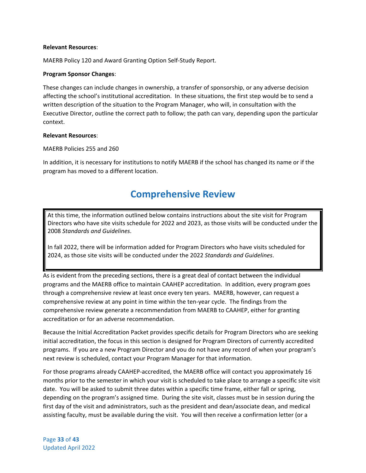#### **Relevant Resources**:

MAERB Policy 120 and Award Granting Option Self-Study Report.

#### **Program Sponsor Changes**:

These changes can include changes in ownership, a transfer of sponsorship, or any adverse decision affecting the school's institutional accreditation. In these situations, the first step would be to send a written description of the situation to the Program Manager, who will, in consultation with the Executive Director, outline the correct path to follow; the path can vary, depending upon the particular context.

#### **Relevant Resources**:

#### MAERB Policies 255 and 260

<span id="page-33-0"></span>In addition, it is necessary for institutions to notify MAERB if the school has changed its name or if the program has moved to a different location.

## **Comprehensive Review**

At this time, the information outlined below contains instructions about the site visit for Program Directors who have site visits schedule for 2022 and 2023, as those visits will be conducted under the 2008 *Standards and Guidelines*.

In fall 2022, there will be information added for Program Directors who have visits scheduled for 2024, as those site visits will be conducted under the 2022 *Standards and Guidelines*.

As is evident from the preceding sections, there is a great deal of contact between the individual programs and the MAERB office to maintain CAAHEP accreditation. In addition, every program goes through a comprehensive review at least once every ten years. MAERB, however, can request a comprehensive review at any point in time within the ten-year cycle. The findings from the comprehensive review generate a recommendation from MAERB to CAAHEP, either for granting accreditation or for an adverse recommendation.

Because the Initial Accreditation Packet provides specific details for Program Directors who are seeking initial accreditation, the focus in this section is designed for Program Directors of currently accredited programs. If you are a new Program Director and you do not have any record of when your program's next review is scheduled, contact your Program Manager for that information.

For those programs already CAAHEP-accredited, the MAERB office will contact you approximately 16 months prior to the semester in which your visit is scheduled to take place to arrange a specific site visit date. You will be asked to submit three dates within a specific time frame, either fall or spring, depending on the program's assigned time. During the site visit, classes must be in session during the first day of the visit and administrators, such as the president and dean/associate dean, and medical assisting faculty, must be available during the visit. You will then receive a confirmation letter (or a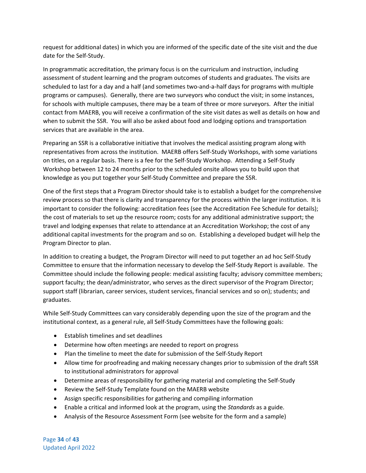request for additional dates) in which you are informed of the specific date of the site visit and the due date for the Self-Study.

In programmatic accreditation, the primary focus is on the curriculum and instruction, including assessment of student learning and the program outcomes of students and graduates. The visits are scheduled to last for a day and a half (and sometimes two-and-a-half days for programs with multiple programs or campuses). Generally, there are two surveyors who conduct the visit; in some instances, for schools with multiple campuses, there may be a team of three or more surveyors. After the initial contact from MAERB, you will receive a confirmation of the site visit dates as well as details on how and when to submit the SSR. You will also be asked about food and lodging options and transportation services that are available in the area.

Preparing an SSR is a collaborative initiative that involves the medical assisting program along with representatives from across the institution. MAERB offers Self-Study Workshops, with some variations on titles, on a regular basis. There is a fee for the Self-Study Workshop. Attending a Self-Study Workshop between 12 to 24 months prior to the scheduled onsite allows you to build upon that knowledge as you put together your Self-Study Committee and prepare the SSR.

One of the first steps that a Program Director should take is to establish a budget for the comprehensive review process so that there is clarity and transparency for the process within the larger institution. It is important to consider the following: accreditation fees (see the Accreditation Fee Schedule for details); the cost of materials to set up the resource room; costs for any additional administrative support; the travel and lodging expenses that relate to attendance at an Accreditation Workshop; the cost of any additional capital investments for the program and so on. Establishing a developed budget will help the Program Director to plan.

In addition to creating a budget, the Program Director will need to put together an ad hoc Self-Study Committee to ensure that the information necessary to develop the Self-Study Report is available. The Committee should include the following people: medical assisting faculty; advisory committee members; support faculty; the dean/administrator, who serves as the direct supervisor of the Program Director; support staff (librarian, career services, student services, financial services and so on); students; and graduates.

While Self-Study Committees can vary considerably depending upon the size of the program and the institutional context, as a general rule, all Self-Study Committees have the following goals:

- Establish timelines and set deadlines
- Determine how often meetings are needed to report on progress
- Plan the timeline to meet the date for submission of the Self-Study Report
- Allow time for proofreading and making necessary changes prior to submission of the draft SSR to institutional administrators for approval
- Determine areas of responsibility for gathering material and completing the Self-Study
- Review the Self-Study Template found on the MAERB website
- Assign specific responsibilities for gathering and compiling information
- Enable a critical and informed look at the program, using the *Standards* as a guide.
- Analysis of the Resource Assessment Form (see website for the form and a sample)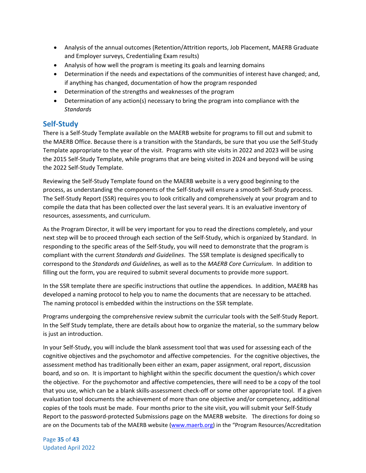- Analysis of the annual outcomes (Retention/Attrition reports, Job Placement, MAERB Graduate and Employer surveys, Credentialing Exam results)
- Analysis of how well the program is meeting its goals and learning domains
- Determination if the needs and expectations of the communities of interest have changed; and, if anything has changed, documentation of how the program responded
- Determination of the strengths and weaknesses of the program
- Determination of any action(s) necessary to bring the program into compliance with the *Standards*

## <span id="page-35-0"></span>**Self-Study**

There is a Self-Study Template available on the MAERB website for programs to fill out and submit to the MAERB Office. Because there is a transition with the Standards, be sure that you use the Self-Study Template appropriate to the year of the visit. Programs with site visits in 2022 and 2023 will be using the 2015 Self-Study Template, while programs that are being visited in 2024 and beyond will be using the 2022 Self-Study Template.

Reviewing the Self-Study Template found on the MAERB website is a very good beginning to the process, as understanding the components of the Self-Study will ensure a smooth Self-Study process. The Self-Study Report (SSR) requires you to look critically and comprehensively at your program and to compile the data that has been collected over the last several years. It is an evaluative inventory of resources, assessments, and curriculum.

As the Program Director, it will be very important for you to read the directions completely, and your next step will be to proceed through each section of the Self-Study, which is organized by Standard. In responding to the specific areas of the Self-Study, you will need to demonstrate that the program is compliant with the current *Standards and Guidelines*. The SSR template is designed specifically to correspond to the *Standards and Guidelines,* as well as to the *MAERB Core Curriculum*. In addition to filling out the form, you are required to submit several documents to provide more support.

In the SSR template there are specific instructions that outline the appendices. In addition, MAERB has developed a naming protocol to help you to name the documents that are necessary to be attached. The naming protocol is embedded within the instructions on the SSR template.

Programs undergoing the comprehensive review submit the curricular tools with the Self-Study Report. In the Self Study template, there are details about how to organize the material, so the summary below is just an introduction.

In your Self-Study, you will include the blank assessment tool that was used for assessing each of the cognitive objectives and the psychomotor and affective competencies. For the cognitive objectives, the assessment method has traditionally been either an exam, paper assignment, oral report, discussion board, and so on. It is important to highlight within the specific document the question/s which cover the objective. For the psychomotor and affective competencies, there will need to be a copy of the tool that you use, which can be a blank skills-assessment check-off or some other appropriate tool. If a given evaluation tool documents the achievement of more than one objective and/or competency, additional copies of the tools must be made. Four months prior to the site visit, you will submit your Self-Study Report to the password-protected Submissions page on the MAERB website. The directions for doing so are on the Documents tab of the MAERB website [\(www.maerb.org\)](http://www.maerb.org/) in the "Program Resources/Accreditation

Page **35** of **43** Updated April 2022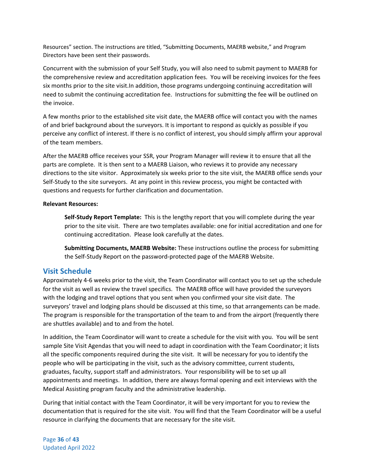Resources" section. The instructions are titled, "Submitting Documents, MAERB website," and Program Directors have been sent their passwords.

Concurrent with the submission of your Self Study, you will also need to submit payment to MAERB for the comprehensive review and accreditation application fees. You will be receiving invoices for the fees six months prior to the site visit.In addition, those programs undergoing continuing accreditation will need to submit the continuing accreditation fee. Instructions for submitting the fee will be outlined on the invoice.

A few months prior to the established site visit date, the MAERB office will contact you with the names of and brief background about the surveyors. It is important to respond as quickly as possible if you perceive any conflict of interest. If there is no conflict of interest, you should simply affirm your approval of the team members.

After the MAERB office receives your SSR, your Program Manager will review it to ensure that all the parts are complete. It is then sent to a MAERB Liaison, who reviews it to provide any necessary directions to the site visitor. Approximately six weeks prior to the site visit, the MAERB office sends your Self-Study to the site surveyors. At any point in this review process, you might be contacted with questions and requests for further clarification and documentation.

#### **Relevant Resources:**

**Self-Study Report Template:** This is the lengthy report that you will complete during the year prior to the site visit. There are two templates available: one for initial accreditation and one for continuing accreditation. Please look carefully at the dates.

**Submitting Documents, MAERB Website:** These instructions outline the process for submitting the Self-Study Report on the password-protected page of the MAERB Website.

## <span id="page-36-0"></span>**Visit Schedule**

Approximately 4-6 weeks prior to the visit, the Team Coordinator will contact you to set up the schedule for the visit as well as review the travel specifics. The MAERB office will have provided the surveyors with the lodging and travel options that you sent when you confirmed your site visit date. The surveyors' travel and lodging plans should be discussed at this time, so that arrangements can be made. The program is responsible for the transportation of the team to and from the airport (frequently there are shuttles available) and to and from the hotel.

In addition, the Team Coordinator will want to create a schedule for the visit with you. You will be sent sample Site Visit Agendas that you will need to adapt in coordination with the Team Coordinator; it lists all the specific components required during the site visit. It will be necessary for you to identify the people who will be participating in the visit, such as the advisory committee, current students, graduates, faculty, support staff and administrators. Your responsibility will be to set up all appointments and meetings. In addition, there are always formal opening and exit interviews with the Medical Assisting program faculty and the administrative leadership.

During that initial contact with the Team Coordinator, it will be very important for you to review the documentation that is required for the site visit. You will find that the Team Coordinator will be a useful resource in clarifying the documents that are necessary for the site visit.

Page **36** of **43** Updated April 2022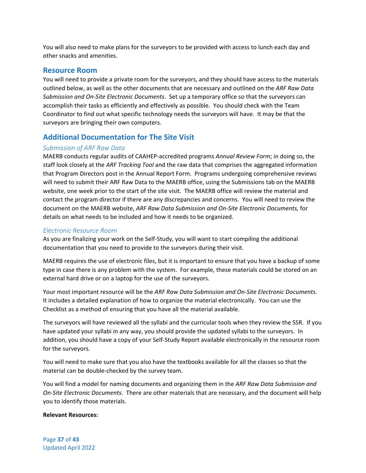You will also need to make plans for the surveyors to be provided with access to lunch each day and other snacks and amenities.

#### <span id="page-37-0"></span>**Resource Room**

You will need to provide a private room for the surveyors, and they should have access to the materials outlined below, as well as the other documents that are necessary and outlined on the *ARF Raw Data Submission and On-Site Electronic Documents*. Set up a temporary office so that the surveyors can accomplish their tasks as efficiently and effectively as possible. You should check with the Team Coordinator to find out what specific technology needs the surveyors will have. It may be that the surveyors are bringing their own computers.

## <span id="page-37-1"></span>**Additional Documentation for The Site Visit**

#### <span id="page-37-2"></span>*Submission of ARF Raw Data*

MAERB conducts regular audits of CAAHEP-accredited programs *Annual Review Form*; in doing so, the staff look closely at the *ARF Tracking Tool* and the raw data that comprises the aggregated information that Program Directors post in the Annual Report Form. Programs undergoing comprehensive reviews will need to submit their ARF Raw Data to the MAERB office, using the Submissions tab on the MAERB website, one week prior to the start of the site visit. The MAERB office will review the material and contact the program director if there are any discrepancies and concerns. You will need to review the document on the MAERB website, *ARF Raw Data Submission and On-Site Electronic Documents,* for details on what needs to be included and how it needs to be organized.

#### <span id="page-37-3"></span>*Electronic Resource Room*

As you are finalizing your work on the Self-Study, you will want to start compiling the additional documentation that you need to provide to the surveyors during their visit.

MAERB requires the use of electronic files, but it is important to ensure that you have a backup of some type in case there is any problem with the system. For example, these materials could be stored on an external hard drive or on a laptop for the use of the surveyors.

Your most important resource will be the *ARF Raw Data Submission and On-Site Electronic Documents*. It includes a detailed explanation of how to organize the material electronically. You can use the Checklist as a method of ensuring that you have all the material available.

The surveyors will have reviewed all the syllabi and the curricular tools when they review the SSR. If you have updated your syllabi in any way, you should provide the updated syllabi to the surveyors. In addition, you should have a copy of your Self-Study Report available electronically in the resource room for the surveyors.

You will need to make sure that you also have the textbooks available for all the classes so that the material can be double-checked by the survey team.

You will find a model for naming documents and organizing them in the *ARF Raw Data Submission and On-Site Electronic Documents*. There are other materials that are necessary, and the document will help you to identify those materials.

#### **Relevant Resources:**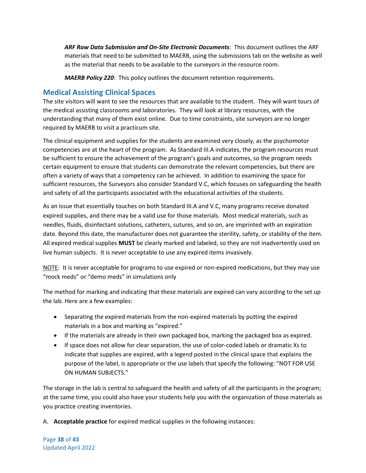*ARF Raw Data Submission and On-Site Electronic Documents*: This document outlines the ARF materials that need to be submitted to MAERB, using the submissions tab on the website as well as the material that needs to be available to the surveyors in the resource room.

*MAERB Policy 220*: This policy outlines the document retention requirements.

## <span id="page-38-0"></span>**Medical Assisting Clinical Spaces**

The site visitors will want to see the resources that are available to the student. They will want tours of the medical assisting classrooms and laboratories. They will look at library resources, with the understanding that many of them exist online. Due to time constraints, site surveyors are no longer required by MAERB to visit a practicum site.

The clinical equipment and supplies for the students are examined very closely, as the psychomotor competencies are at the heart of the program. As Standard III.A indicates, the program resources must be sufficient to ensure the achievement of the program's goals and outcomes, so the program needs certain equipment to ensure that students can demonstrate the relevant competencies, but there are often a variety of ways that a competency can be achieved. In addition to examining the space for sufficient resources, the Surveyors also consider Standard V.C, which focuses on safeguarding the health and safety of all the participants associated with the educational activities of the students.

As an issue that essentially touches on both Standard III.A and V.C, many programs receive donated expired supplies, and there may be a valid use for those materials. Most medical materials, such as needles, fluids, disinfectant solutions, catheters, sutures, and so on, are imprinted with an expiration date. Beyond this date, the manufacturer does not guarantee the sterility, safety, or stability of the item. All expired medical supplies **MUST** be clearly marked and labeled, so they are not inadvertently used on live human subjects. It is never acceptable to use any expired items invasively.

NOTE: It is never acceptable for programs to use expired or non-expired medications, but they may use "mock meds" or "demo meds" in simulations only

The method for marking and indicating that these materials are expired can vary according to the set up the lab. Here are a few examples:

- Separating the expired materials from the non-expired materials by putting the expired materials in a box and marking as "expired."
- If the materials are already in their own packaged box, marking the packaged box as expired.
- If space does not allow for clear separation, the use of color-coded labels or dramatic Xs to indicate that supplies are expired, with a legend posted in the clinical space that explains the purpose of the label, is appropriate or the use labels that specify the following: "NOT FOR USE ON HUMAN SUBJECTS."

The storage in the lab is central to safeguard the health and safety of all the participants in the program; at the same time, you could also have your students help you with the organization of those materials as you practice creating inventories.

A. **Acceptable practice** for expired medical supplies in the following instances:

Page **38** of **43** Updated April 2022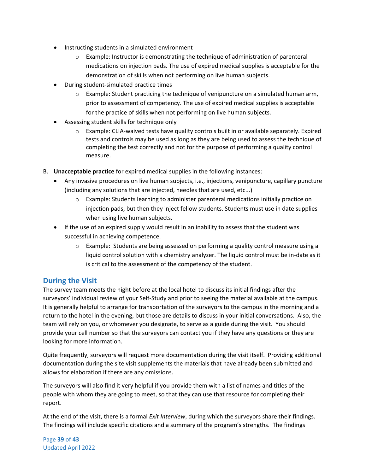- Instructing students in a simulated environment
	- $\circ$  Example: Instructor is demonstrating the technique of administration of parenteral medications on injection pads. The use of expired medical supplies is acceptable for the demonstration of skills when not performing on live human subjects.
- During student-simulated practice times
	- $\circ$  Example: Student practicing the technique of venipuncture on a simulated human arm, prior to assessment of competency. The use of expired medical supplies is acceptable for the practice of skills when not performing on live human subjects.
- Assessing student skills for technique only
	- o Example: CLIA-waived tests have quality controls built in or available separately. Expired tests and controls may be used as long as they are being used to assess the technique of completing the test correctly and not for the purpose of performing a quality control measure.
- B. **Unacceptable practice** for expired medical supplies in the following instances:
	- Any invasive procedures on live human subjects, i.e., injections, venipuncture, capillary puncture (including any solutions that are injected, needles that are used, etc...)
		- o Example: Students learning to administer parenteral medications initially practice on injection pads, but then they inject fellow students. Students must use in date supplies when using live human subjects.
	- If the use of an expired supply would result in an inability to assess that the student was successful in achieving competence.
		- $\circ$  Example: Students are being assessed on performing a quality control measure using a liquid control solution with a chemistry analyzer. The liquid control must be in-date as it is critical to the assessment of the competency of the student.

## <span id="page-39-0"></span>**During the Visit**

The survey team meets the night before at the local hotel to discuss its initial findings after the surveyors' individual review of your Self-Study and prior to seeing the material available at the campus. It is generally helpful to arrange for transportation of the surveyors to the campus in the morning and a return to the hotel in the evening, but those are details to discuss in your initial conversations. Also, the team will rely on you, or whomever you designate, to serve as a guide during the visit. You should provide your cell number so that the surveyors can contact you if they have any questions or they are looking for more information.

Quite frequently, surveyors will request more documentation during the visit itself. Providing additional documentation during the site visit supplements the materials that have already been submitted and allows for elaboration if there are any omissions.

The surveyors will also find it very helpful if you provide them with a list of names and titles of the people with whom they are going to meet, so that they can use that resource for completing their report.

At the end of the visit, there is a formal *Exit Interview*, during which the surveyors share their findings. The findings will include specific citations and a summary of the program's strengths. The findings

Page **39** of **43** Updated April 2022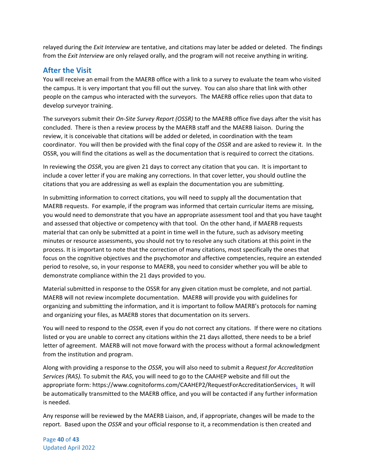relayed during the *Exit Interview* are tentative, and citations may later be added or deleted. The findings from the *Exit Interview* are only relayed orally, and the program will not receive anything in writing.

## <span id="page-40-0"></span>**After the Visit**

You will receive an email from the MAERB office with a link to a survey to evaluate the team who visited the campus. It is very important that you fill out the survey. You can also share that link with other people on the campus who interacted with the surveyors. The MAERB office relies upon that data to develop surveyor training.

The surveyors submit their *On-Site Survey Report (OSSR)* to the MAERB office five days after the visit has concluded. There is then a review process by the MAERB staff and the MAERB liaison. During the review, it is conceivable that citations will be added or deleted, in coordination with the team coordinator. You will then be provided with the final copy of the *OSSR* and are asked to review it. In the OSSR, you will find the citations as well as the documentation that is required to correct the citations.

In reviewing the *OSSR*, you are given 21 days to correct any citation that you can. It is important to include a cover letter if you are making any corrections. In that cover letter, you should outline the citations that you are addressing as well as explain the documentation you are submitting.

In submitting information to correct citations, you will need to supply all the documentation that MAERB requests. For example, if the program was informed that certain curricular items are missing, you would need to demonstrate that you have an appropriate assessment tool and that you have taught and assessed that objective or competency with that tool. On the other hand, if MAERB requests material that can only be submitted at a point in time well in the future, such as advisory meeting minutes or resource assessments, you should not try to resolve any such citations at this point in the process. It is important to note that the correction of many citations, most specifically the ones that focus on the cognitive objectives and the psychomotor and affective competencies, require an extended period to resolve, so, in your response to MAERB, you need to consider whether you will be able to demonstrate compliance within the 21 days provided to you.

Material submitted in response to the OSSR for any given citation must be complete, and not partial. MAERB will not review incomplete documentation. MAERB will provide you with guidelines for organizing and submitting the information, and it is important to follow MAERB's protocols for naming and organizing your files, as MAERB stores that documentation on its servers.

You will need to respond to the *OSSR,* even if you do not correct any citations. If there were no citations listed or you are unable to correct any citations within the 21 days allotted, there needs to be a brief letter of agreement. MAERB will not move forward with the process without a formal acknowledgment from the institution and program.

Along with providing a response to the *OSSR*, you will also need to submit a *Request for Accreditation Services (RAS).* To submit the *RAS*, you will need to go to the CAAHEP website and fill out the appropriate form: https://www.cognitoforms.com/CAAHEP2/RequestForAccreditationServices. It will be automatically transmitted to the MAERB office, and you will be contacted if any further information is needed.

Any response will be reviewed by the MAERB Liaison, and, if appropriate, changes will be made to the report. Based upon the *OSSR* and your official response to it, a recommendation is then created and

Page **40** of **43** Updated April 2022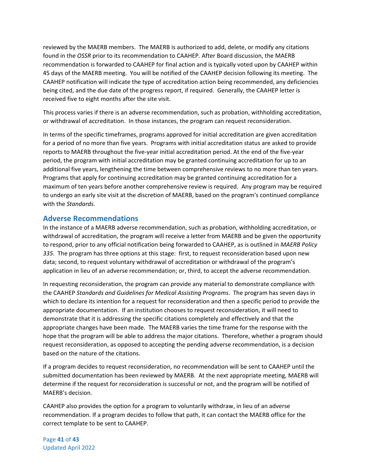reviewed by the MAERB members. The MAERB is authorized to add, delete, or modify any citations found in the *OSSR* prior to its recommendation to CAAHEP. After Board discussion, the MAERB recommendation is forwarded to CAAHEP for final action and is typically voted upon by CAAHEP within 45 days of the MAERB meeting. You will be notified of the CAAHEP decision following its meeting. The CAAHEP notification will indicate the type of accreditation action being recommended, any deficiencies being cited, and the due date of the progress report, if required. Generally, the CAAHEP letter is received five to eight months after the site visit.

This process varies if there is an adverse recommendation, such as probation, withholding accreditation, or withdrawal of accreditation. In those instances, the program can request reconsideration.

In terms of the specific timeframes, programs approved for initial accreditation are given accreditation for a period of no more than five years. Programs with initial accreditation status are asked to provide reports to MAERB throughout the five-year initial accreditation period. At the end of the five-year period, the program with initial accreditation may be granted continuing accreditation for up to an additional five years, lengthening the time between comprehensive reviews to no more than ten years. Programs that apply for continuing accreditation may be granted continuing accreditation for a maximum of ten years before another comprehensive review is required. Any program may be required to undergo an early site visit at the discretion of MAERB, based on the program's continued compliance with the *Standards*.

## <span id="page-41-0"></span>**Adverse Recommendations**

In the instance of a MAERB adverse recommendation, such as probation, withholding accreditation, or withdrawal of accreditation, the program will receive a letter from MAERB and be given the opportunity to respond, prior to any official notification being forwarded to CAAHEP, as is outlined in *MAERB Policy 335*. The program has three options at this stage: first, to request reconsideration based upon new data; second, to request voluntary withdrawal of accreditation or withdrawal of the program's application in lieu of an adverse recommendation; or, third, to accept the adverse recommendation.

In requesting reconsideration, the program can provide any material to demonstrate compliance with the CAAHEP *Standards and Guidelines for Medical Assisting Programs*. The program has seven days in which to declare its intention for a request for reconsideration and then a specific period to provide the appropriate documentation. If an institution chooses to request reconsideration, it will need to demonstrate that it is addressing the specific citations completely and effectively and that the appropriate changes have been made. The MAERB varies the time frame for the response with the hope that the program will be able to address the major citations. Therefore, whether a program should request reconsideration, as opposed to accepting the pending adverse recommendation, is a decision based on the nature of the citations.

If a program decides to request reconsideration, no recommendation will be sent to CAAHEP until the submitted documentation has been reviewed by MAERB. At the next appropriate meeting, MAERB will determine if the request for reconsideration is successful or not, and the program will be notified of MAERB's decision.

CAAHEP also provides the option for a program to voluntarily withdraw, in lieu of an adverse recommendation. If a program decides to follow that path, it can contact the MAERB office for the correct template to be sent to CAAHEP.

Page **41** of **43** Updated April 2022